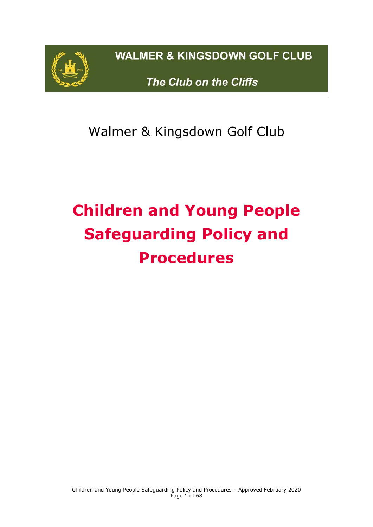

**WALMER & KINGSDOWN GOLF CLUB** 

The Club on the Cliffs

Walmer & Kingsdown Golf Club

# **Children and Young People Safeguarding Policy and Procedures**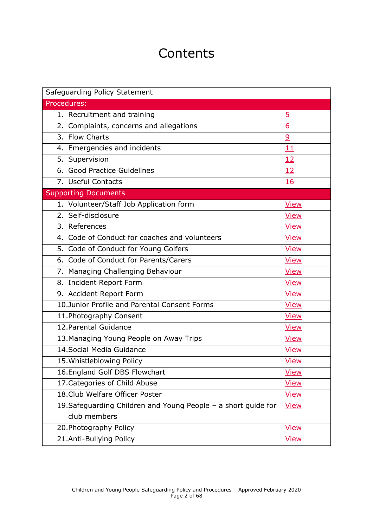# **Contents**

| Safeguarding Policy Statement                                  |                |  |  |
|----------------------------------------------------------------|----------------|--|--|
| Procedures:                                                    |                |  |  |
| 1. Recruitment and training                                    | $\overline{5}$ |  |  |
| 2. Complaints, concerns and allegations                        | 6              |  |  |
| 3. Flow Charts                                                 | $\overline{9}$ |  |  |
| 4. Emergencies and incidents                                   | 11             |  |  |
| 5. Supervision                                                 | 12             |  |  |
| 6. Good Practice Guidelines                                    | 12             |  |  |
| 7. Useful Contacts                                             | 16             |  |  |
| <b>Supporting Documents</b>                                    |                |  |  |
| 1. Volunteer/Staff Job Application form                        | <b>View</b>    |  |  |
| 2. Self-disclosure                                             | <b>View</b>    |  |  |
| 3. References                                                  | <b>View</b>    |  |  |
| 4. Code of Conduct for coaches and volunteers                  | <b>View</b>    |  |  |
| 5. Code of Conduct for Young Golfers                           | <b>View</b>    |  |  |
| 6. Code of Conduct for Parents/Carers                          | <b>View</b>    |  |  |
| 7. Managing Challenging Behaviour                              | <b>View</b>    |  |  |
| 8. Incident Report Form                                        | <b>View</b>    |  |  |
| 9. Accident Report Form                                        | <b>View</b>    |  |  |
| 10. Junior Profile and Parental Consent Forms                  | <b>View</b>    |  |  |
| 11. Photography Consent                                        | <b>View</b>    |  |  |
| 12. Parental Guidance                                          | <b>View</b>    |  |  |
| 13. Managing Young People on Away Trips<br><b>View</b>         |                |  |  |
| 14. Social Media Guidance                                      | <b>View</b>    |  |  |
| 15. Whistleblowing Policy<br><b>View</b>                       |                |  |  |
| 16. England Golf DBS Flowchart<br><b>View</b>                  |                |  |  |
| 17. Categories of Child Abuse<br><b>View</b>                   |                |  |  |
| 18. Club Welfare Officer Poster                                | <u>View</u>    |  |  |
| 19. Safeguarding Children and Young People - a short guide for | <b>View</b>    |  |  |
| club members                                                   |                |  |  |
| 20. Photography Policy<br><b>View</b>                          |                |  |  |
| 21.Anti-Bullying Policy                                        | <b>View</b>    |  |  |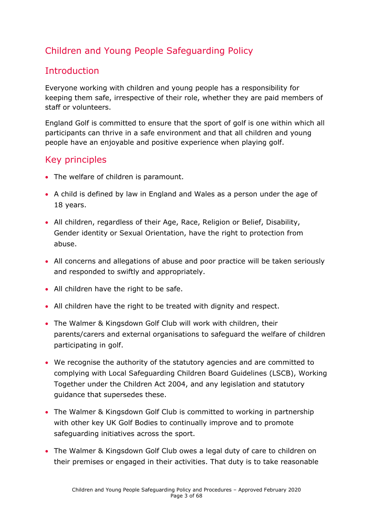# Children and Young People Safeguarding Policy

### Introduction

Everyone working with children and young people has a responsibility for keeping them safe, irrespective of their role, whether they are paid members of staff or volunteers.

England Golf is committed to ensure that the sport of golf is one within which all participants can thrive in a safe environment and that all children and young people have an enjoyable and positive experience when playing golf.

### Key principles

- The welfare of children is paramount.
- A child is defined by law in England and Wales as a person under the age of 18 years.
- All children, regardless of their Age, Race, Religion or Belief, Disability, Gender identity or Sexual Orientation, have the right to protection from abuse.
- All concerns and allegations of abuse and poor practice will be taken seriously and responded to swiftly and appropriately.
- All children have the right to be safe.
- All children have the right to be treated with dignity and respect.
- The Walmer & Kingsdown Golf Club will work with children, their parents/carers and external organisations to safeguard the welfare of children participating in golf.
- We recognise the authority of the statutory agencies and are committed to complying with Local Safeguarding Children Board Guidelines (LSCB), Working Together under the Children Act 2004, and any legislation and statutory guidance that supersedes these.
- The Walmer & Kingsdown Golf Club is committed to working in partnership with other key UK Golf Bodies to continually improve and to promote safeguarding initiatives across the sport.
- The Walmer & Kingsdown Golf Club owes a legal duty of care to children on their premises or engaged in their activities. That duty is to take reasonable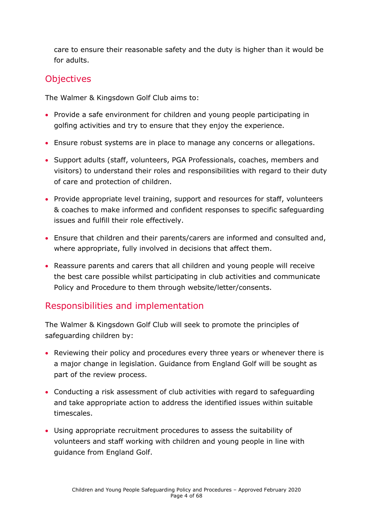care to ensure their reasonable safety and the duty is higher than it would be for adults.

### **Objectives**

The Walmer & Kingsdown Golf Club aims to:

- Provide a safe environment for children and young people participating in golfing activities and try to ensure that they enjoy the experience.
- Ensure robust systems are in place to manage any concerns or allegations.
- Support adults (staff, volunteers, PGA Professionals, coaches, members and visitors) to understand their roles and responsibilities with regard to their duty of care and protection of children.
- Provide appropriate level training, support and resources for staff, volunteers & coaches to make informed and confident responses to specific safeguarding issues and fulfill their role effectively.
- Ensure that children and their parents/carers are informed and consulted and, where appropriate, fully involved in decisions that affect them.
- Reassure parents and carers that all children and young people will receive the best care possible whilst participating in club activities and communicate Policy and Procedure to them through website/letter/consents.

### Responsibilities and implementation

The Walmer & Kingsdown Golf Club will seek to promote the principles of safeguarding children by:

- Reviewing their policy and procedures every three years or whenever there is a major change in legislation. Guidance from England Golf will be sought as part of the review process.
- Conducting a risk assessment of club activities with regard to safeguarding and take appropriate action to address the identified issues within suitable timescales.
- Using appropriate recruitment procedures to assess the suitability of volunteers and staff working with children and young people in line with guidance from England Golf.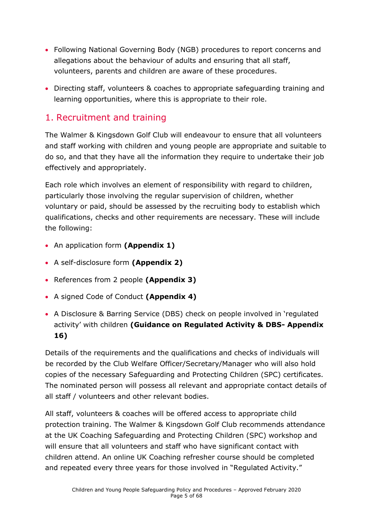- Following National Governing Body (NGB) procedures to report concerns and allegations about the behaviour of adults and ensuring that all staff, volunteers, parents and children are aware of these procedures.
- Directing staff, volunteers & coaches to appropriate safeguarding training and learning opportunities, where this is appropriate to their role.

### <span id="page-4-0"></span>1. Recruitment and training

The Walmer & Kingsdown Golf Club will endeavour to ensure that all volunteers and staff working with children and young people are appropriate and suitable to do so, and that they have all the information they require to undertake their job effectively and appropriately.

Each role which involves an element of responsibility with regard to children, particularly those involving the regular supervision of children, whether voluntary or paid, should be assessed by the recruiting body to establish which qualifications, checks and other requirements are necessary. These will include the following:

- An application form **(Appendix 1)**
- A self-disclosure form **(Appendix 2)**
- References from 2 people **(Appendix 3)**
- A signed Code of Conduct **(Appendix 4)**
- A Disclosure & Barring Service (DBS) check on people involved in 'regulated activity' with children **(Guidance on Regulated Activity & DBS- Appendix 16)**

Details of the requirements and the qualifications and checks of individuals will be recorded by the Club Welfare Officer/Secretary/Manager who will also hold copies of the necessary Safeguarding and Protecting Children (SPC) certificates. The nominated person will possess all relevant and appropriate contact details of all staff / volunteers and other relevant bodies.

All staff, volunteers & coaches will be offered access to appropriate child protection training. The Walmer & Kingsdown Golf Club recommends attendance at the UK Coaching Safeguarding and Protecting Children (SPC) workshop and will ensure that all volunteers and staff who have significant contact with children attend. An online UK Coaching refresher course should be completed and repeated every three years for those involved in "Regulated Activity."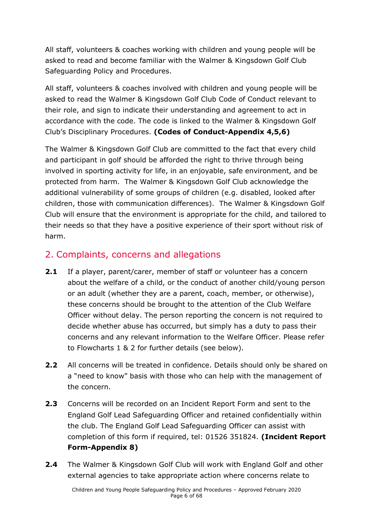All staff, volunteers & coaches working with children and young people will be asked to read and become familiar with the Walmer & Kingsdown Golf Club Safeguarding Policy and Procedures.

All staff, volunteers & coaches involved with children and young people will be asked to read the Walmer & Kingsdown Golf Club Code of Conduct relevant to their role, and sign to indicate their understanding and agreement to act in accordance with the code. The code is linked to the Walmer & Kingsdown Golf Club's Disciplinary Procedures. **(Codes of Conduct-Appendix 4,5,6)**

The Walmer & Kingsdown Golf Club are committed to the fact that every child and participant in golf should be afforded the right to thrive through being involved in sporting activity for life, in an enjoyable, safe environment, and be protected from harm. The Walmer & Kingsdown Golf Club acknowledge the additional vulnerability of some groups of children (e.g. disabled, looked after children, those with communication differences). The Walmer & Kingsdown Golf Club will ensure that the environment is appropriate for the child, and tailored to their needs so that they have a positive experience of their sport without risk of harm.

### <span id="page-5-0"></span>2. Complaints, concerns and allegations

- **2.1** If a player, parent/carer, member of staff or volunteer has a concern about the welfare of a child, or the conduct of another child/young person or an adult (whether they are a parent, coach, member, or otherwise), these concerns should be brought to the attention of the Club Welfare Officer without delay. The person reporting the concern is not required to decide whether abuse has occurred, but simply has a duty to pass their concerns and any relevant information to the Welfare Officer. Please refer to Flowcharts 1 & 2 for further details (see below).
- **2.2** All concerns will be treated in confidence. Details should only be shared on a "need to know" basis with those who can help with the management of the concern.
- **2.3** Concerns will be recorded on an Incident Report Form and sent to the England Golf Lead Safeguarding Officer and retained confidentially within the club. The England Golf Lead Safeguarding Officer can assist with completion of this form if required, tel: 01526 351824. **(Incident Report Form-Appendix 8)**
- **2.4** The Walmer & Kingsdown Golf Club will work with England Golf and other external agencies to take appropriate action where concerns relate to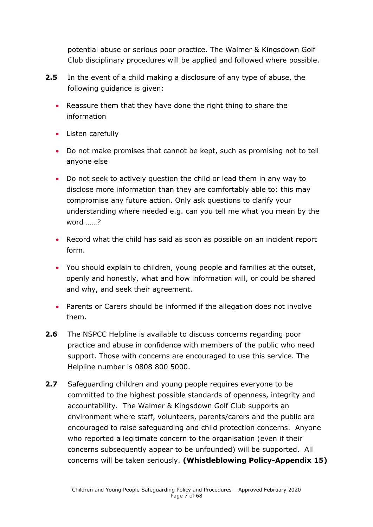potential abuse or serious poor practice. The Walmer & Kingsdown Golf Club disciplinary procedures will be applied and followed where possible.

- **2.5** In the event of a child making a disclosure of any type of abuse, the following guidance is given:
	- Reassure them that they have done the right thing to share the information
	- Listen carefully
	- Do not make promises that cannot be kept, such as promising not to tell anyone else
	- Do not seek to actively question the child or lead them in any way to disclose more information than they are comfortably able to: this may compromise any future action. Only ask questions to clarify your understanding where needed e.g. can you tell me what you mean by the word ……?
	- Record what the child has said as soon as possible on an incident report form.
	- You should explain to children, young people and families at the outset, openly and honestly, what and how information will, or could be shared and why, and seek their agreement.
	- Parents or Carers should be informed if the allegation does not involve them.
- **2.6** The NSPCC Helpline is available to discuss concerns regarding poor practice and abuse in confidence with members of the public who need support. Those with concerns are encouraged to use this service. The Helpline number is 0808 800 5000.
- **2.7** Safeguarding children and young people requires everyone to be committed to the highest possible standards of openness, integrity and accountability. The Walmer & Kingsdown Golf Club supports an environment where staff, volunteers, parents/carers and the public are encouraged to raise safeguarding and child protection concerns. Anyone who reported a legitimate concern to the organisation (even if their concerns subsequently appear to be unfounded) will be supported. All concerns will be taken seriously. **(Whistleblowing Policy-Appendix 15)**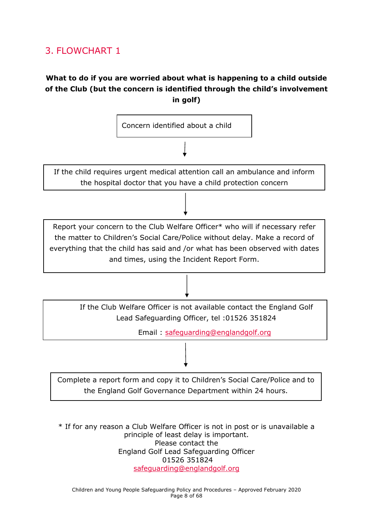# <span id="page-7-0"></span>3. FLOWCHART 1

### **What to do if you are worried about what is happening to a child outside of the Club (but the concern is identified through the child's involvement in golf)**



\* If for any reason a Club Welfare Officer is not in post or is unavailable a principle of least delay is important. Please contact the England Golf Lead Safeguarding Officer 01526 351824 [safeguarding@englandgolf.org](mailto:safeguarding@englandgolf.org)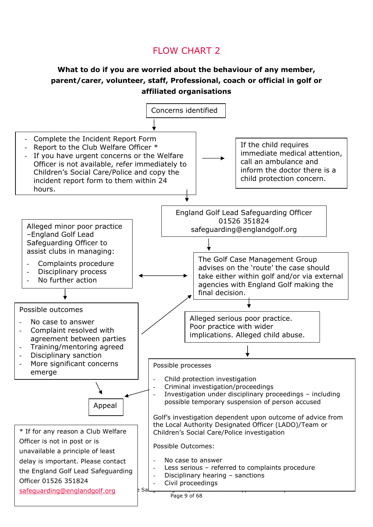### FLOW CHART 2

### **What to do if you are worried about the behaviour of any member, parent/carer, volunteer, staff, Professional, coach or official in golf or affiliated organisations**

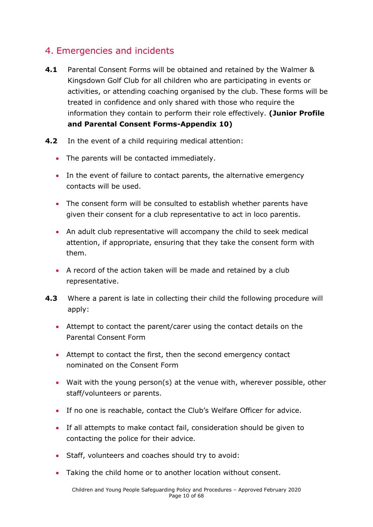### <span id="page-9-0"></span>4. Emergencies and incidents

- **4.1** Parental Consent Forms will be obtained and retained by the Walmer & Kingsdown Golf Club for all children who are participating in events or activities, or attending coaching organised by the club. These forms will be treated in confidence and only shared with those who require the information they contain to perform their role effectively. **(Junior Profile and Parental Consent Forms-Appendix 10)**
- **4.2** In the event of a child requiring medical attention:
	- The parents will be contacted immediately.
	- In the event of failure to contact parents, the alternative emergency contacts will be used.
	- The consent form will be consulted to establish whether parents have given their consent for a club representative to act in loco parentis.
	- An adult club representative will accompany the child to seek medical attention, if appropriate, ensuring that they take the consent form with them.
	- A record of the action taken will be made and retained by a club representative.
- **4.3** Where a parent is late in collecting their child the following procedure will apply:
	- Attempt to contact the parent/carer using the contact details on the Parental Consent Form
	- Attempt to contact the first, then the second emergency contact nominated on the Consent Form
	- Wait with the young person(s) at the venue with, wherever possible, other staff/volunteers or parents.
	- If no one is reachable, contact the Club's Welfare Officer for advice.
	- If all attempts to make contact fail, consideration should be given to contacting the police for their advice.
	- Staff, volunteers and coaches should try to avoid:
	- Taking the child home or to another location without consent.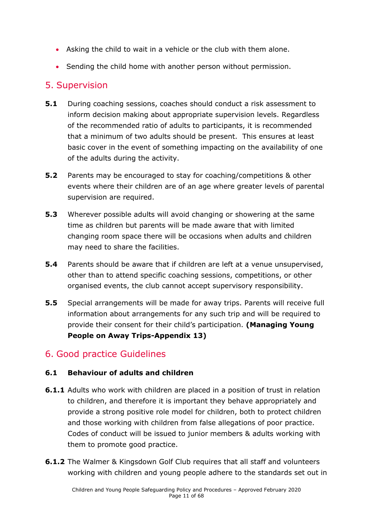- Asking the child to wait in a vehicle or the club with them alone.
- Sending the child home with another person without permission.

### <span id="page-10-0"></span>5. Supervision

- **5.1** During coaching sessions, coaches should conduct a risk assessment to inform decision making about appropriate supervision levels. Regardless of the recommended ratio of adults to participants, it is recommended that a minimum of two adults should be present. This ensures at least basic cover in the event of something impacting on the availability of one of the adults during the activity.
- **5.2** Parents may be encouraged to stay for coaching/competitions & other events where their children are of an age where greater levels of parental supervision are required.
- **5.3** Wherever possible adults will avoid changing or showering at the same time as children but parents will be made aware that with limited changing room space there will be occasions when adults and children may need to share the facilities.
- **5.4** Parents should be aware that if children are left at a venue unsupervised, other than to attend specific coaching sessions, competitions, or other organised events, the club cannot accept supervisory responsibility.
- **5.5** Special arrangements will be made for away trips. Parents will receive full information about arrangements for any such trip and will be required to provide their consent for their child's participation. **(Managing Young People on Away Trips-Appendix 13)**

### <span id="page-10-1"></span>6. Good practice Guidelines

#### **6.1 Behaviour of adults and children**

- **6.1.1** Adults who work with children are placed in a position of trust in relation to children, and therefore it is important they behave appropriately and provide a strong positive role model for children, both to protect children and those working with children from false allegations of poor practice. Codes of conduct will be issued to junior members & adults working with them to promote good practice.
- **6.1.2** The Walmer & Kingsdown Golf Club requires that all staff and volunteers working with children and young people adhere to the standards set out in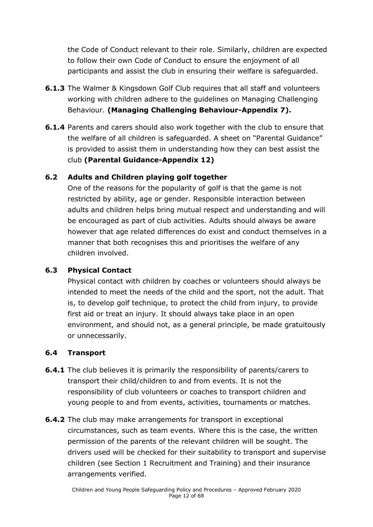the Code of Conduct relevant to their role. Similarly, children are expected to follow their own Code of Conduct to ensure the enjoyment of all participants and assist the club in ensuring their welfare is safeguarded.

- **6.1.3** The Walmer & Kingsdown Golf Club requires that all staff and volunteers working with children adhere to the guidelines on Managing Challenging Behaviour. **(Managing Challenging Behaviour-Appendix 7).**
- **6.1.4** Parents and carers should also work together with the club to ensure that the welfare of all children is safeguarded. A sheet on "Parental Guidance" is provided to assist them in understanding how they can best assist the club **(Parental Guidance-Appendix 12)**

#### **6.2 Adults and Children playing golf together**

One of the reasons for the popularity of golf is that the game is not restricted by ability, age or gender. Responsible interaction between adults and children helps bring mutual respect and understanding and will be encouraged as part of club activities. Adults should always be aware however that age related differences do exist and conduct themselves in a manner that both recognises this and prioritises the welfare of any children involved.

#### **6.3 Physical Contact**

Physical contact with children by coaches or volunteers should always be intended to meet the needs of the child and the sport, not the adult. That is, to develop golf technique, to protect the child from injury, to provide first aid or treat an injury. It should always take place in an open environment, and should not, as a general principle, be made gratuitously or unnecessarily.

### **6.4 Transport**

- **6.4.1** The club believes it is primarily the responsibility of parents/carers to transport their child/children to and from events. It is not the responsibility of club volunteers or coaches to transport children and young people to and from events, activities, tournaments or matches.
- **6.4.2** The club may make arrangements for transport in exceptional circumstances, such as team events. Where this is the case, the written permission of the parents of the relevant children will be sought. The drivers used will be checked for their suitability to transport and supervise children (see Section 1 Recruitment and Training) and their insurance arrangements verified.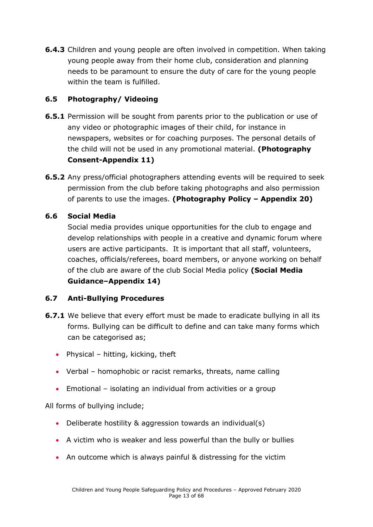**6.4.3** Children and young people are often involved in competition. When taking young people away from their home club, consideration and planning needs to be paramount to ensure the duty of care for the young people within the team is fulfilled.

### **6.5 Photography/ Videoing**

- **6.5.1** Permission will be sought from parents prior to the publication or use of any video or photographic images of their child, for instance in newspapers, websites or for coaching purposes. The personal details of the child will not be used in any promotional material. **(Photography Consent-Appendix 11)**
- **6.5.2** Any press/official photographers attending events will be required to seek permission from the club before taking photographs and also permission of parents to use the images. **(Photography Policy – Appendix 20)**

#### **6.6 Social Media**

Social media provides unique opportunities for the club to engage and develop relationships with people in a creative and dynamic forum where users are active participants. It is important that all staff, volunteers, coaches, officials/referees, board members, or anyone working on behalf of the club are aware of the club Social Media policy **(Social Media Guidance–Appendix 14)**

#### **6.7 Anti-Bullying Procedures**

- **6.7.1** We believe that every effort must be made to eradicate bullying in all its forms. Bullying can be difficult to define and can take many forms which can be categorised as;
	- Physical hitting, kicking, theft
	- Verbal homophobic or racist remarks, threats, name calling
	- Emotional isolating an individual from activities or a group

All forms of bullying include;

- Deliberate hostility & aggression towards an individual(s)
- A victim who is weaker and less powerful than the bully or bullies
- An outcome which is always painful & distressing for the victim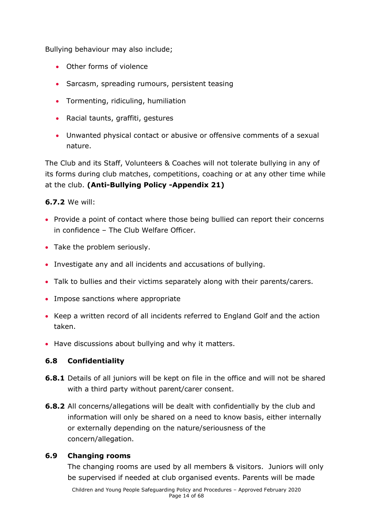Bullying behaviour may also include;

- Other forms of violence
- Sarcasm, spreading rumours, persistent teasing
- Tormenting, ridiculing, humiliation
- Racial taunts, graffiti, gestures
- Unwanted physical contact or abusive or offensive comments of a sexual nature.

The Club and its Staff, Volunteers & Coaches will not tolerate bullying in any of its forms during club matches, competitions, coaching or at any other time while at the club. **(Anti-Bullying Policy -Appendix 21)**

#### **6.7.2** We will:

- Provide a point of contact where those being bullied can report their concerns in confidence – The Club Welfare Officer.
- Take the problem seriously.
- Investigate any and all incidents and accusations of bullying.
- Talk to bullies and their victims separately along with their parents/carers.
- Impose sanctions where appropriate
- Keep a written record of all incidents referred to England Golf and the action taken.
- Have discussions about bullying and why it matters.

#### **6.8 Confidentiality**

- **6.8.1** Details of all juniors will be kept on file in the office and will not be shared with a third party without parent/carer consent.
- **6.8.2** All concerns/allegations will be dealt with confidentially by the club and information will only be shared on a need to know basis, either internally or externally depending on the nature/seriousness of the concern/allegation.

#### **6.9 Changing rooms**

The changing rooms are used by all members & visitors. Juniors will only be supervised if needed at club organised events. Parents will be made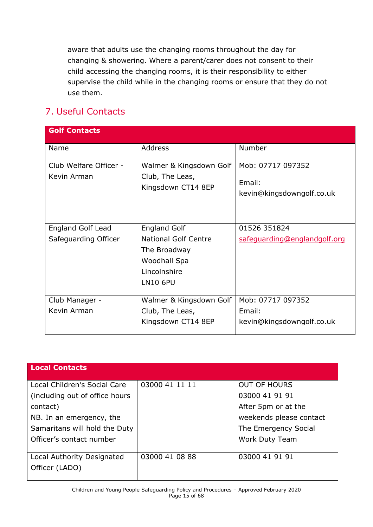aware that adults use the changing rooms throughout the day for changing & showering. Where a parent/carer does not consent to their child accessing the changing rooms, it is their responsibility to either supervise the child while in the changing rooms or ensure that they do not use them.

# <span id="page-14-0"></span>7. Useful Contacts

| <b>Golf Contacts</b>                      |                                                                                                                       |                                                          |
|-------------------------------------------|-----------------------------------------------------------------------------------------------------------------------|----------------------------------------------------------|
| Name                                      | <b>Address</b>                                                                                                        | Number                                                   |
| Club Welfare Officer -<br>Kevin Arman     | Walmer & Kingsdown Golf<br>Club, The Leas,<br>Kingsdown CT14 8EP                                                      | Mob: 07717 097352<br>Email:<br>kevin@kingsdowngolf.co.uk |
| England Golf Lead<br>Safeguarding Officer | <b>England Golf</b><br><b>National Golf Centre</b><br>The Broadway<br>Woodhall Spa<br>Lincolnshire<br><b>LN10 6PU</b> | 01526 351824<br>safeguarding@englandgolf.org             |
| Club Manager -<br>Kevin Arman             | Walmer & Kingsdown Golf<br>Club, The Leas,<br>Kingsdown CT14 8EP                                                      | Mob: 07717 097352<br>Email:<br>kevin@kingsdowngolf.co.uk |

| <b>Local Contacts</b>           |                |                         |
|---------------------------------|----------------|-------------------------|
|                                 |                |                         |
| Local Children's Social Care    | 03000 41 11 11 | <b>OUT OF HOURS</b>     |
| (including out of office hours) |                | 03000 41 91 91          |
| contact)                        |                | After 5pm or at the     |
| NB. In an emergency, the        |                | weekends please contact |
| Samaritans will hold the Duty   |                | The Emergency Social    |
| Officer's contact number        |                | <b>Work Duty Team</b>   |
|                                 |                |                         |
| Local Authority Designated      | 03000 41 08 88 | 03000 41 91 91          |
| Officer (LADO)                  |                |                         |
|                                 |                |                         |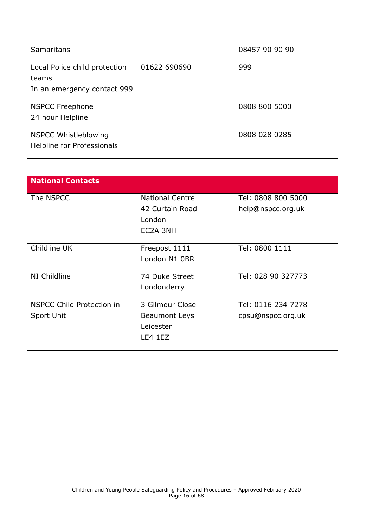| Samaritans                             |              | 08457 90 90 90 |
|----------------------------------------|--------------|----------------|
| Local Police child protection<br>teams | 01622 690690 | 999            |
| In an emergency contact 999            |              |                |
| <b>NSPCC Freephone</b>                 |              | 0808 800 5000  |
| 24 hour Helpline                       |              |                |
| <b>NSPCC Whistleblowing</b>            |              | 0808 028 0285  |
| Helpline for Professionals             |              |                |

<span id="page-15-0"></span>

| <b>National Contacts</b>         |                        |                    |
|----------------------------------|------------------------|--------------------|
|                                  |                        |                    |
| The NSPCC                        | <b>National Centre</b> | Tel: 0808 800 5000 |
|                                  | 42 Curtain Road        | help@nspcc.org.uk  |
|                                  | London                 |                    |
|                                  | EC2A 3NH               |                    |
|                                  |                        |                    |
| Childline UK                     | Freepost 1111          | Tel: 0800 1111     |
|                                  | London N1 0BR          |                    |
|                                  |                        |                    |
| NI Childline                     | 74 Duke Street         | Tel: 028 90 327773 |
|                                  | Londonderry            |                    |
|                                  |                        |                    |
| <b>NSPCC Child Protection in</b> | 3 Gilmour Close        | Tel: 0116 234 7278 |
| Sport Unit                       | <b>Beaumont Leys</b>   | cpsu@nspcc.org.uk  |
|                                  | Leicester              |                    |
|                                  | LE4 1EZ                |                    |
|                                  |                        |                    |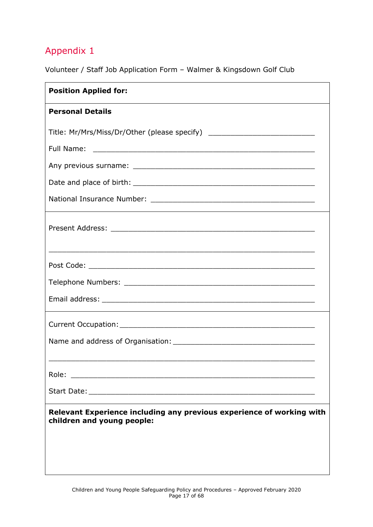Volunteer / Staff Job Application Form – Walmer & Kingsdown Golf Club

| <b>Position Applied for:</b>                                                                        |
|-----------------------------------------------------------------------------------------------------|
| <b>Personal Details</b>                                                                             |
| Title: Mr/Mrs/Miss/Dr/Other (please specify) ___________________________________                    |
|                                                                                                     |
|                                                                                                     |
|                                                                                                     |
|                                                                                                     |
|                                                                                                     |
|                                                                                                     |
|                                                                                                     |
|                                                                                                     |
|                                                                                                     |
|                                                                                                     |
|                                                                                                     |
|                                                                                                     |
| Role:                                                                                               |
|                                                                                                     |
| Relevant Experience including any previous experience of working with<br>children and young people: |
|                                                                                                     |
|                                                                                                     |
|                                                                                                     |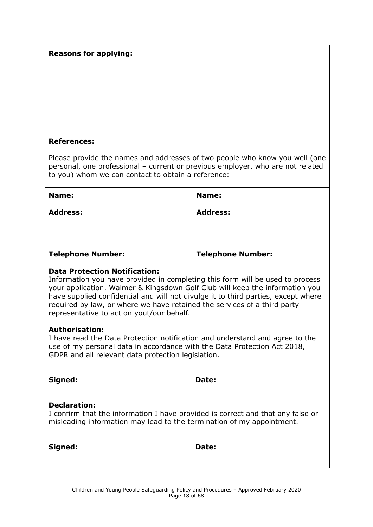#### **Reasons for applying:**

#### **References:**

Please provide the names and addresses of two people who know you well (one personal, one professional – current or previous employer, who are not related to you) whom we can contact to obtain a reference:

| Name:                    | Name:                    |
|--------------------------|--------------------------|
| <b>Address:</b>          | <b>Address:</b>          |
| <b>Telephone Number:</b> | <b>Telephone Number:</b> |

#### **Data Protection Notification:**

Information you have provided in completing this form will be used to process your application. Walmer & Kingsdown Golf Club will keep the information you have supplied confidential and will not divulge it to third parties, except where required by law, or where we have retained the services of a third party representative to act on yout/our behalf.

#### **Authorisation:**

I have read the Data Protection notification and understand and agree to the use of my personal data in accordance with the Data Protection Act 2018, GDPR and all relevant data protection legislation.

| Signed:             | <b>Date:</b>                                                                                                                                             |  |
|---------------------|----------------------------------------------------------------------------------------------------------------------------------------------------------|--|
| <b>Declaration:</b> | I confirm that the information I have provided is correct and that any false or<br>misleading information may lead to the termination of my appointment. |  |
| Signed:             | <b>Date:</b>                                                                                                                                             |  |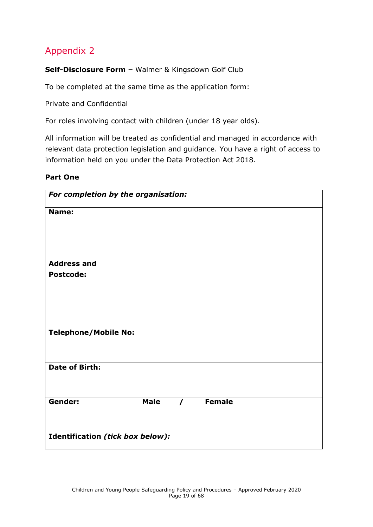<span id="page-18-0"></span>**Self-Disclosure Form –** Walmer & Kingsdown Golf Club

To be completed at the same time as the application form:

Private and Confidential

For roles involving contact with children (under 18 year olds).

All information will be treated as confidential and managed in accordance with relevant data protection legislation and guidance. You have a right of access to information held on you under the Data Protection Act 2018.

#### **Part One**

| For completion by the organisation: |             |          |        |  |
|-------------------------------------|-------------|----------|--------|--|
| Name:                               |             |          |        |  |
|                                     |             |          |        |  |
| <b>Address and</b>                  |             |          |        |  |
| <b>Postcode:</b>                    |             |          |        |  |
|                                     |             |          |        |  |
|                                     |             |          |        |  |
|                                     |             |          |        |  |
| <b>Telephone/Mobile No:</b>         |             |          |        |  |
| <b>Date of Birth:</b>               |             |          |        |  |
|                                     |             |          |        |  |
| Gender:                             | <b>Male</b> | $\prime$ | Female |  |
|                                     |             |          |        |  |
|                                     |             |          |        |  |
| Identification (tick box below):    |             |          |        |  |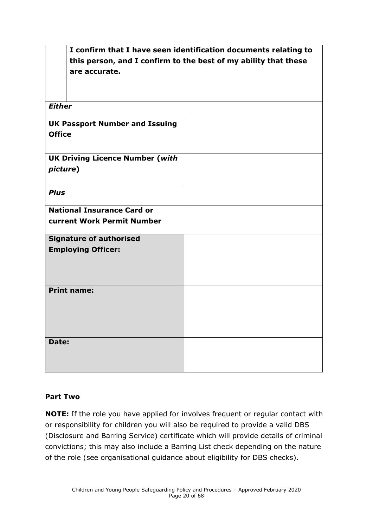|                                        | I confirm that I have seen identification documents relating to |  |
|----------------------------------------|-----------------------------------------------------------------|--|
|                                        | this person, and I confirm to the best of my ability that these |  |
| are accurate.                          |                                                                 |  |
|                                        |                                                                 |  |
|                                        |                                                                 |  |
|                                        |                                                                 |  |
| <b>Either</b>                          |                                                                 |  |
| <b>UK Passport Number and Issuing</b>  |                                                                 |  |
| <b>Office</b>                          |                                                                 |  |
|                                        |                                                                 |  |
| <b>UK Driving Licence Number (with</b> |                                                                 |  |
|                                        |                                                                 |  |
| picture)                               |                                                                 |  |
|                                        |                                                                 |  |
| <b>Plus</b>                            |                                                                 |  |
|                                        |                                                                 |  |
| <b>National Insurance Card or</b>      |                                                                 |  |
| current Work Permit Number             |                                                                 |  |
| <b>Signature of authorised</b>         |                                                                 |  |
| <b>Employing Officer:</b>              |                                                                 |  |
|                                        |                                                                 |  |
|                                        |                                                                 |  |
|                                        |                                                                 |  |
| <b>Print name:</b>                     |                                                                 |  |
|                                        |                                                                 |  |
|                                        |                                                                 |  |
|                                        |                                                                 |  |
|                                        |                                                                 |  |
| Date:                                  |                                                                 |  |
|                                        |                                                                 |  |
|                                        |                                                                 |  |
|                                        |                                                                 |  |

#### **Part Two**

**NOTE:** If the role you have applied for involves frequent or regular contact with or responsibility for children you will also be required to provide a valid DBS (Disclosure and Barring Service) certificate which will provide details of criminal convictions; this may also include a Barring List check depending on the nature of the role (see organisational guidance about eligibility for DBS checks).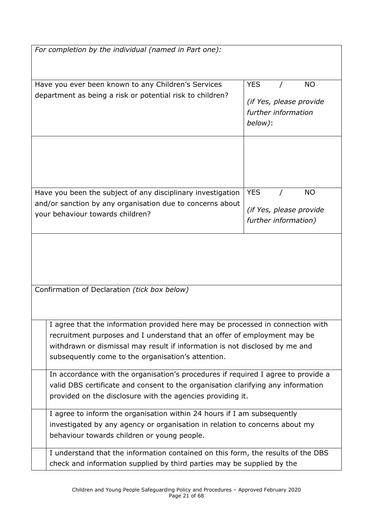| For completion by the individual (named in Part one):                                                                                                                                                                                                                                           |                                                                                      |  |  |
|-------------------------------------------------------------------------------------------------------------------------------------------------------------------------------------------------------------------------------------------------------------------------------------------------|--------------------------------------------------------------------------------------|--|--|
| Have you ever been known to any Children's Services<br>department as being a risk or potential risk to children?                                                                                                                                                                                | <b>YES</b><br><b>NO</b><br>(if Yes, please provide<br>further information<br>below): |  |  |
| Have you been the subject of any disciplinary investigation<br>and/or sanction by any organisation due to concerns about                                                                                                                                                                        | <b>YES</b><br><b>NO</b><br>(if Yes, please provide                                   |  |  |
| your behaviour towards children?                                                                                                                                                                                                                                                                | further information)                                                                 |  |  |
|                                                                                                                                                                                                                                                                                                 |                                                                                      |  |  |
| Confirmation of Declaration (tick box below)                                                                                                                                                                                                                                                    |                                                                                      |  |  |
| I agree that the information provided here may be processed in connection with<br>recruitment purposes and I understand that an offer of employment may be<br>withdrawn or dismissal may result if information is not disclosed by me and<br>subsequently come to the organisation's attention. |                                                                                      |  |  |
| In accordance with the organisation's procedures if required I agree to provide a<br>valid DBS certificate and consent to the organisation clarifying any information<br>provided on the disclosure with the agencies providing it.                                                             |                                                                                      |  |  |
| I agree to inform the organisation within 24 hours if I am subsequently<br>investigated by any agency or organisation in relation to concerns about my<br>behaviour towards children or young people.                                                                                           |                                                                                      |  |  |
| I understand that the information contained on this form, the results of the DBS<br>check and information supplied by third parties may be supplied by the                                                                                                                                      |                                                                                      |  |  |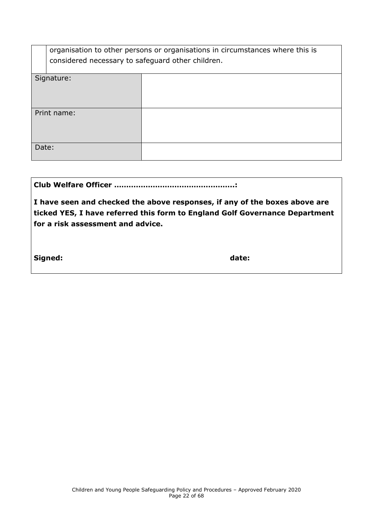| organisation to other persons or organisations in circumstances where this is |  |  |
|-------------------------------------------------------------------------------|--|--|
| considered necessary to safeguard other children.                             |  |  |
|                                                                               |  |  |
| Signature:                                                                    |  |  |
|                                                                               |  |  |
|                                                                               |  |  |
|                                                                               |  |  |
| Print name:                                                                   |  |  |
|                                                                               |  |  |
|                                                                               |  |  |
|                                                                               |  |  |
| Date:                                                                         |  |  |
|                                                                               |  |  |

|--|--|

**I have seen and checked the above responses, if any of the boxes above are ticked YES, I have referred this form to England Golf Governance Department for a risk assessment and advice.**

**Signed: date:**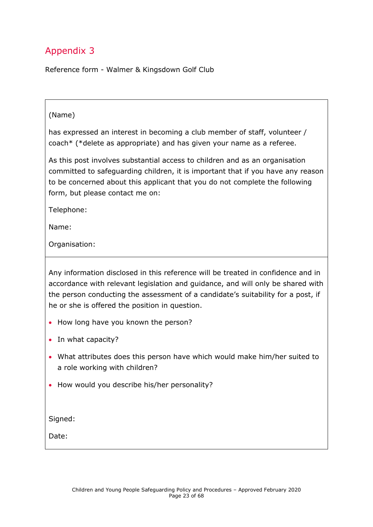<span id="page-22-0"></span>Reference form - Walmer & Kingsdown Golf Club

#### (Name)

has expressed an interest in becoming a club member of staff, volunteer / coach\* (\*delete as appropriate) and has given your name as a referee.

As this post involves substantial access to children and as an organisation committed to safeguarding children, it is important that if you have any reason to be concerned about this applicant that you do not complete the following form, but please contact me on:

Telephone:

Name:

Organisation:

Any information disclosed in this reference will be treated in confidence and in accordance with relevant legislation and guidance, and will only be shared with the person conducting the assessment of a candidate's suitability for a post, if he or she is offered the position in question.

- How long have you known the person?
- In what capacity?
- What attributes does this person have which would make him/her suited to a role working with children?
- How would you describe his/her personality?

Signed:

Date: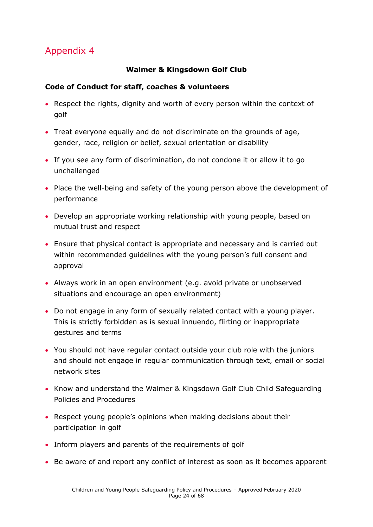#### **Walmer & Kingsdown Golf Club**

#### <span id="page-23-0"></span>**Code of Conduct for staff, coaches & volunteers**

- Respect the rights, dignity and worth of every person within the context of golf
- Treat everyone equally and do not discriminate on the grounds of age, gender, race, religion or belief, sexual orientation or disability
- If you see any form of discrimination, do not condone it or allow it to go unchallenged
- Place the well-being and safety of the young person above the development of performance
- Develop an appropriate working relationship with young people, based on mutual trust and respect
- Ensure that physical contact is appropriate and necessary and is carried out within recommended guidelines with the young person's full consent and approval
- Always work in an open environment (e.g. avoid private or unobserved situations and encourage an open environment)
- Do not engage in any form of sexually related contact with a young player. This is strictly forbidden as is sexual innuendo, flirting or inappropriate gestures and terms
- You should not have regular contact outside your club role with the juniors and should not engage in regular communication through text, email or social network sites
- Know and understand the Walmer & Kingsdown Golf Club Child Safeguarding Policies and Procedures
- Respect young people's opinions when making decisions about their participation in golf
- Inform players and parents of the requirements of golf
- Be aware of and report any conflict of interest as soon as it becomes apparent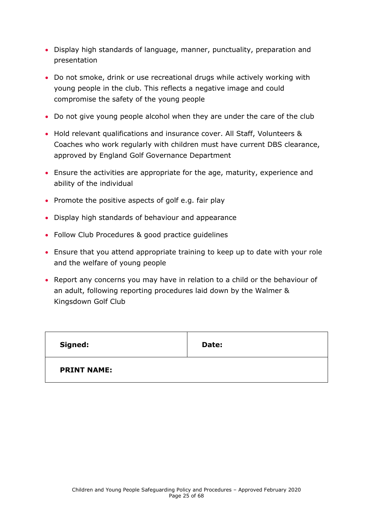- Display high standards of language, manner, punctuality, preparation and presentation
- Do not smoke, drink or use recreational drugs while actively working with young people in the club. This reflects a negative image and could compromise the safety of the young people
- Do not give young people alcohol when they are under the care of the club
- Hold relevant qualifications and insurance cover. All Staff, Volunteers & Coaches who work regularly with children must have current DBS clearance, approved by England Golf Governance Department
- Ensure the activities are appropriate for the age, maturity, experience and ability of the individual
- Promote the positive aspects of golf e.g. fair play
- Display high standards of behaviour and appearance
- Follow Club Procedures & good practice guidelines
- Ensure that you attend appropriate training to keep up to date with your role and the welfare of young people
- Report any concerns you may have in relation to a child or the behaviour of an adult, following reporting procedures laid down by the Walmer & Kingsdown Golf Club

| <b>Signed:</b>     | Date: |
|--------------------|-------|
| <b>PRINT NAME:</b> |       |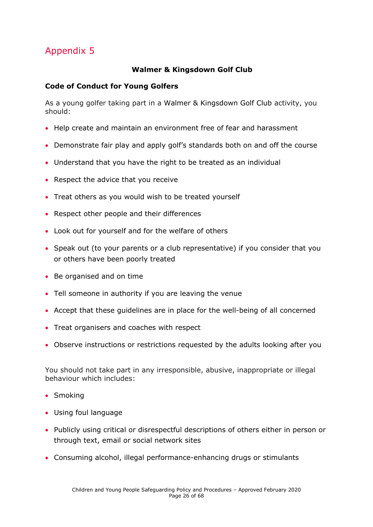#### **Walmer & Kingsdown Golf Club**

#### <span id="page-25-0"></span>**Code of Conduct for Young Golfers**

As a young golfer taking part in a Walmer & Kingsdown Golf Club activity, you should:

- Help create and maintain an environment free of fear and harassment
- Demonstrate fair play and apply golf's standards both on and off the course
- Understand that you have the right to be treated as an individual
- Respect the advice that you receive
- Treat others as you would wish to be treated yourself
- Respect other people and their differences
- Look out for yourself and for the welfare of others
- Speak out (to your parents or a club representative) if you consider that you or others have been poorly treated
- Be organised and on time
- Tell someone in authority if you are leaving the venue
- Accept that these guidelines are in place for the well-being of all concerned
- Treat organisers and coaches with respect
- Observe instructions or restrictions requested by the adults looking after you

You should not take part in any irresponsible, abusive, inappropriate or illegal behaviour which includes:

- Smoking
- Using foul language
- Publicly using critical or disrespectful descriptions of others either in person or through text, email or social network sites
- Consuming alcohol, illegal performance-enhancing drugs or stimulants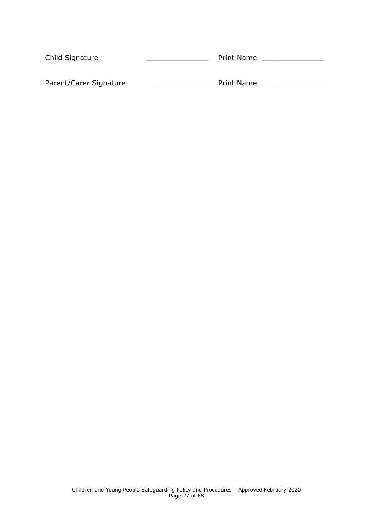| Child Signature        | <b>Print Name</b> |  |
|------------------------|-------------------|--|
|                        |                   |  |
| Parent/Carer Signature | <b>Print Name</b> |  |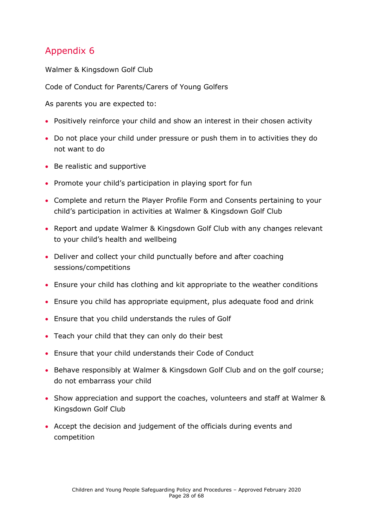<span id="page-27-0"></span>Walmer & Kingsdown Golf Club

Code of Conduct for Parents/Carers of Young Golfers

As parents you are expected to:

- Positively reinforce your child and show an interest in their chosen activity
- Do not place your child under pressure or push them in to activities they do not want to do
- Be realistic and supportive
- Promote your child's participation in playing sport for fun
- Complete and return the Player Profile Form and Consents pertaining to your child's participation in activities at Walmer & Kingsdown Golf Club
- Report and update Walmer & Kingsdown Golf Club with any changes relevant to your child's health and wellbeing
- Deliver and collect your child punctually before and after coaching sessions/competitions
- Ensure your child has clothing and kit appropriate to the weather conditions
- Ensure you child has appropriate equipment, plus adequate food and drink
- Ensure that you child understands the rules of Golf
- Teach your child that they can only do their best
- Ensure that your child understands their Code of Conduct
- Behave responsibly at Walmer & Kingsdown Golf Club and on the golf course; do not embarrass your child
- Show appreciation and support the coaches, volunteers and staff at Walmer & Kingsdown Golf Club
- Accept the decision and judgement of the officials during events and competition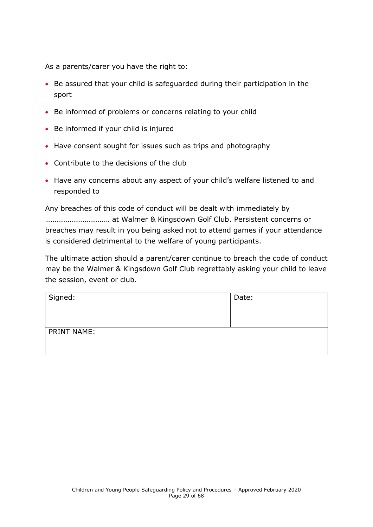As a parents/carer you have the right to:

- Be assured that your child is safeguarded during their participation in the sport
- Be informed of problems or concerns relating to your child
- Be informed if your child is injured
- Have consent sought for issues such as trips and photography
- Contribute to the decisions of the club
- Have any concerns about any aspect of your child's welfare listened to and responded to

Any breaches of this code of conduct will be dealt with immediately by ……………………………. at Walmer & Kingsdown Golf Club. Persistent concerns or breaches may result in you being asked not to attend games if your attendance is considered detrimental to the welfare of young participants.

The ultimate action should a parent/carer continue to breach the code of conduct may be the Walmer & Kingsdown Golf Club regrettably asking your child to leave the session, event or club.

| Signed:            | Date: |
|--------------------|-------|
| <b>PRINT NAME:</b> |       |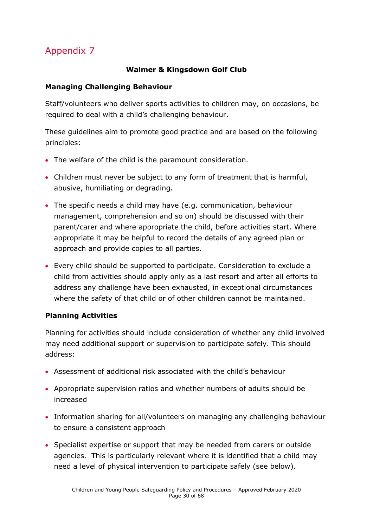#### **Walmer & Kingsdown Golf Club**

#### **Managing Challenging Behaviour**

Staff/volunteers who deliver sports activities to children may, on occasions, be required to deal with a child's challenging behaviour.

These guidelines aim to promote good practice and are based on the following principles:

- The welfare of the child is the paramount consideration.
- Children must never be subject to any form of treatment that is harmful, abusive, humiliating or degrading.
- The specific needs a child may have (e.g. communication, behaviour management, comprehension and so on) should be discussed with their parent/carer and where appropriate the child, before activities start. Where appropriate it may be helpful to record the details of any agreed plan or approach and provide copies to all parties.
- Every child should be supported to participate. Consideration to exclude a child from activities should apply only as a last resort and after all efforts to address any challenge have been exhausted, in exceptional circumstances where the safety of that child or of other children cannot be maintained.

### **Planning Activities**

Planning for activities should include consideration of whether any child involved may need additional support or supervision to participate safely. This should address:

- Assessment of additional risk associated with the child's behaviour
- Appropriate supervision ratios and whether numbers of adults should be increased
- Information sharing for all/volunteers on managing any challenging behaviour to ensure a consistent approach
- Specialist expertise or support that may be needed from carers or outside agencies. This is particularly relevant where it is identified that a child may need a level of physical intervention to participate safely (see below).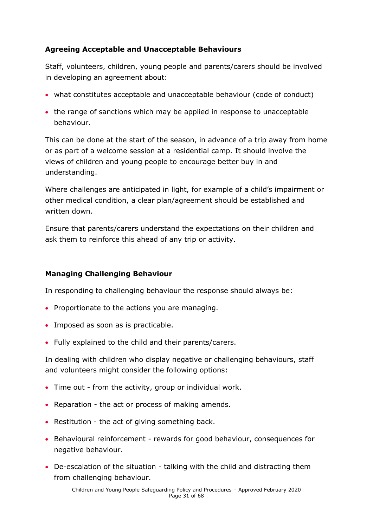#### **Agreeing Acceptable and Unacceptable Behaviours**

Staff, volunteers, children, young people and parents/carers should be involved in developing an agreement about:

- what constitutes acceptable and unacceptable behaviour (code of conduct)
- the range of sanctions which may be applied in response to unacceptable behaviour.

This can be done at the start of the season, in advance of a trip away from home or as part of a welcome session at a residential camp. It should involve the views of children and young people to encourage better buy in and understanding.

Where challenges are anticipated in light, for example of a child's impairment or other medical condition, a clear plan/agreement should be established and written down.

Ensure that parents/carers understand the expectations on their children and ask them to reinforce this ahead of any trip or activity.

#### **Managing Challenging Behaviour**

In responding to challenging behaviour the response should always be:

- Proportionate to the actions you are managing.
- Imposed as soon as is practicable.
- Fully explained to the child and their parents/carers.

In dealing with children who display negative or challenging behaviours, staff and volunteers might consider the following options:

- Time out from the activity, group or individual work.
- Reparation the act or process of making amends.
- Restitution the act of giving something back.
- Behavioural reinforcement rewards for good behaviour, consequences for negative behaviour.
- De-escalation of the situation talking with the child and distracting them from challenging behaviour.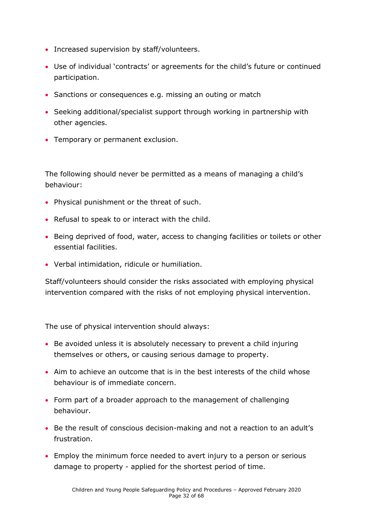- Increased supervision by staff/volunteers.
- Use of individual 'contracts' or agreements for the child's future or continued participation.
- Sanctions or consequences e.g. missing an outing or match
- Seeking additional/specialist support through working in partnership with other agencies.
- Temporary or permanent exclusion.

The following should never be permitted as a means of managing a child's behaviour:

- Physical punishment or the threat of such.
- Refusal to speak to or interact with the child.
- Being deprived of food, water, access to changing facilities or toilets or other essential facilities.
- Verbal intimidation, ridicule or humiliation.

Staff/volunteers should consider the risks associated with employing physical intervention compared with the risks of not employing physical intervention.

The use of physical intervention should always:

- Be avoided unless it is absolutely necessary to prevent a child injuring themselves or others, or causing serious damage to property.
- Aim to achieve an outcome that is in the best interests of the child whose behaviour is of immediate concern.
- Form part of a broader approach to the management of challenging behaviour.
- Be the result of conscious decision-making and not a reaction to an adult's frustration.
- Employ the minimum force needed to avert injury to a person or serious damage to property - applied for the shortest period of time.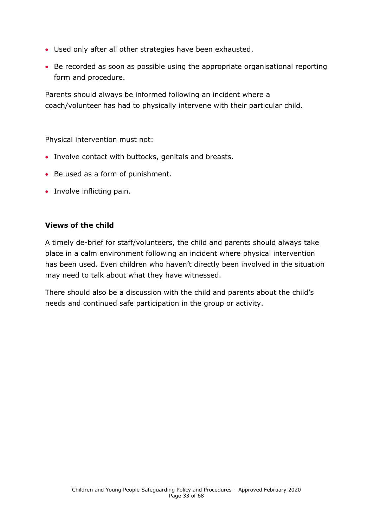- Used only after all other strategies have been exhausted.
- Be recorded as soon as possible using the appropriate organisational reporting form and procedure.

Parents should always be informed following an incident where a coach/volunteer has had to physically intervene with their particular child.

Physical intervention must not:

- Involve contact with buttocks, genitals and breasts.
- Be used as a form of punishment.
- Involve inflicting pain.

#### **Views of the child**

A timely de-brief for staff/volunteers, the child and parents should always take place in a calm environment following an incident where physical intervention has been used. Even children who haven't directly been involved in the situation may need to talk about what they have witnessed.

There should also be a discussion with the child and parents about the child's needs and continued safe participation in the group or activity.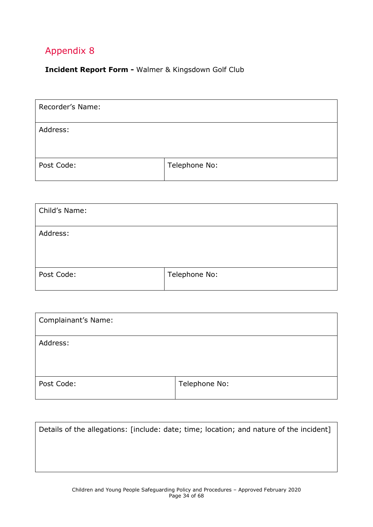<span id="page-33-0"></span>**Incident Report Form -** Walmer & Kingsdown Golf Club

| Recorder's Name: |               |
|------------------|---------------|
| Address:         |               |
| Post Code:       | Telephone No: |

| Child's Name: |               |
|---------------|---------------|
| Address:      |               |
| Post Code:    | Telephone No: |

| Complainant's Name: |               |
|---------------------|---------------|
| Address:            |               |
| Post Code:          | Telephone No: |

| Details of the allegations: [include: date; time; location; and nature of the incident] |  |
|-----------------------------------------------------------------------------------------|--|
|                                                                                         |  |
|                                                                                         |  |
|                                                                                         |  |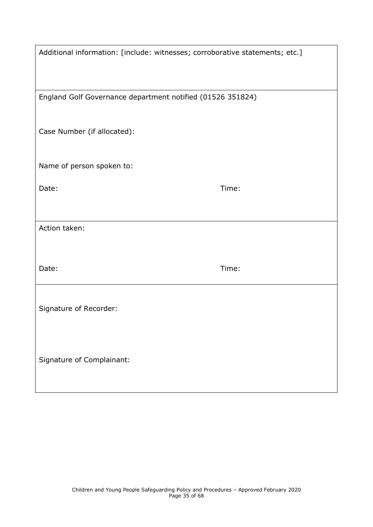| Additional information: [include: witnesses; corroborative statements; etc.] |       |
|------------------------------------------------------------------------------|-------|
| England Golf Governance department notified (01526 351824)                   |       |
|                                                                              |       |
| Case Number (if allocated):                                                  |       |
|                                                                              |       |
| Name of person spoken to:                                                    |       |
| Date:                                                                        | Time: |
|                                                                              |       |
|                                                                              |       |
| Action taken:                                                                |       |
|                                                                              |       |
| Date:                                                                        | Time: |
|                                                                              |       |
|                                                                              |       |
| Signature of Recorder:                                                       |       |
|                                                                              |       |
|                                                                              |       |
| Signature of Complainant:                                                    |       |
|                                                                              |       |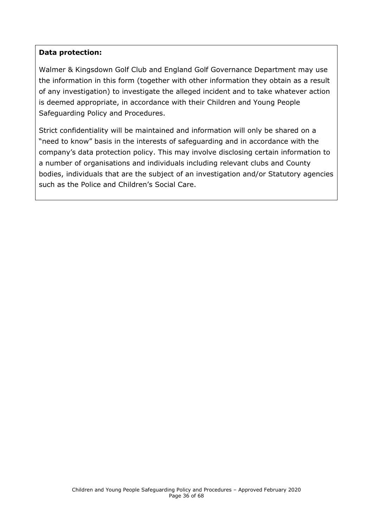#### **Data protection:**

Walmer & Kingsdown Golf Club and England Golf Governance Department may use the information in this form (together with other information they obtain as a result of any investigation) to investigate the alleged incident and to take whatever action is deemed appropriate, in accordance with their Children and Young People Safeguarding Policy and Procedures.

<span id="page-35-0"></span>Strict confidentiality will be maintained and information will only be shared on a "need to know" basis in the interests of safeguarding and in accordance with the company's data protection policy. This may involve disclosing certain information to a number of organisations and individuals including relevant clubs and County bodies, individuals that are the subject of an investigation and/or Statutory agencies such as the Police and Children's Social Care.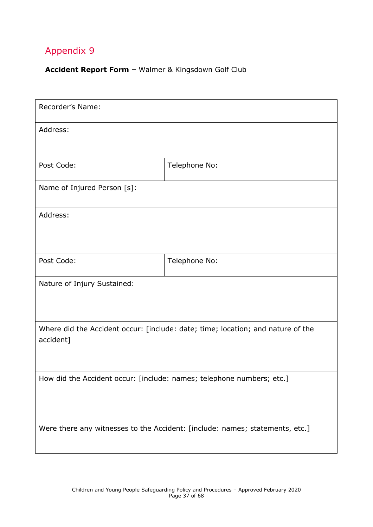#### **Accident Report Form –** Walmer & Kingsdown Golf Club

| Recorder's Name:                                                                             |               |  |
|----------------------------------------------------------------------------------------------|---------------|--|
| Address:                                                                                     |               |  |
| Post Code:                                                                                   | Telephone No: |  |
| Name of Injured Person [s]:                                                                  |               |  |
| Address:                                                                                     |               |  |
| Post Code:                                                                                   | Telephone No: |  |
| Nature of Injury Sustained:                                                                  |               |  |
| Where did the Accident occur: [include: date; time; location; and nature of the<br>accident] |               |  |
| How did the Accident occur: [include: names; telephone numbers; etc.]                        |               |  |
| Were there any witnesses to the Accident: [include: names; statements, etc.]                 |               |  |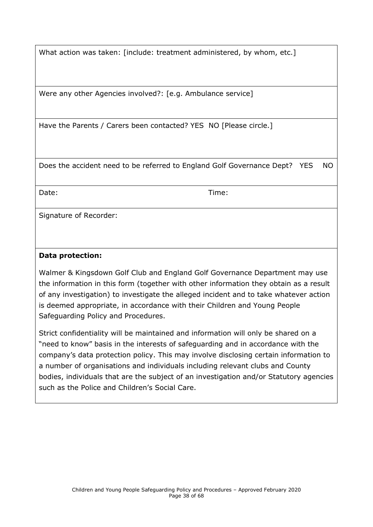What action was taken: [include: treatment administered, by whom, etc.]

Were any other Agencies involved?: [e.g. Ambulance service]

Have the Parents / Carers been contacted? YES NO [Please circle.]

Does the accident need to be referred to England Golf Governance Dept? YES NO

Date: Time:

Signature of Recorder:

#### **Data protection:**

Walmer & Kingsdown Golf Club and England Golf Governance Department may use the information in this form (together with other information they obtain as a result of any investigation) to investigate the alleged incident and to take whatever action is deemed appropriate, in accordance with their Children and Young People Safeguarding Policy and Procedures.

Strict confidentiality will be maintained and information will only be shared on a "need to know" basis in the interests of safeguarding and in accordance with the company's data protection policy. This may involve disclosing certain information to a number of organisations and individuals including relevant clubs and County bodies, individuals that are the subject of an investigation and/or Statutory agencies such as the Police and Children's Social Care.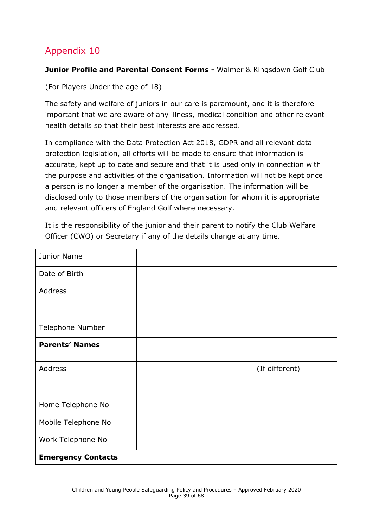#### <span id="page-38-0"></span>**Junior Profile and Parental Consent Forms - Walmer & Kingsdown Golf Club**

(For Players Under the age of 18)

The safety and welfare of juniors in our care is paramount, and it is therefore important that we are aware of any illness, medical condition and other relevant health details so that their best interests are addressed.

In compliance with the Data Protection Act 2018, GDPR and all relevant data protection legislation, all efforts will be made to ensure that information is accurate, kept up to date and secure and that it is used only in connection with the purpose and activities of the organisation. Information will not be kept once a person is no longer a member of the organisation. The information will be disclosed only to those members of the organisation for whom it is appropriate and relevant officers of England Golf where necessary.

It is the responsibility of the junior and their parent to notify the Club Welfare Officer (CWO) or Secretary if any of the details change at any time.

| Junior Name               |                |
|---------------------------|----------------|
| Date of Birth             |                |
| Address                   |                |
|                           |                |
| Telephone Number          |                |
| <b>Parents' Names</b>     |                |
| Address                   | (If different) |
|                           |                |
| Home Telephone No         |                |
| Mobile Telephone No       |                |
| Work Telephone No         |                |
| <b>Emergency Contacts</b> |                |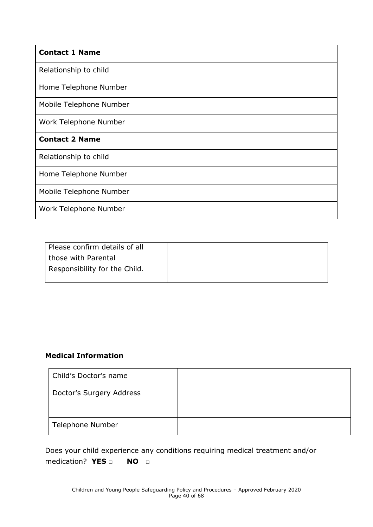| <b>Contact 1 Name</b>   |  |
|-------------------------|--|
| Relationship to child   |  |
| Home Telephone Number   |  |
| Mobile Telephone Number |  |
| Work Telephone Number   |  |
| <b>Contact 2 Name</b>   |  |
| Relationship to child   |  |
| Home Telephone Number   |  |
| Mobile Telephone Number |  |
| Work Telephone Number   |  |

| Please confirm details of all |  |
|-------------------------------|--|
| those with Parental           |  |
| Responsibility for the Child. |  |
|                               |  |

### **Medical Information**

| Child's Doctor's name    |  |
|--------------------------|--|
| Doctor's Surgery Address |  |
| Telephone Number         |  |

Does your child experience any conditions requiring medical treatment and/or medication? **YES □ NO □**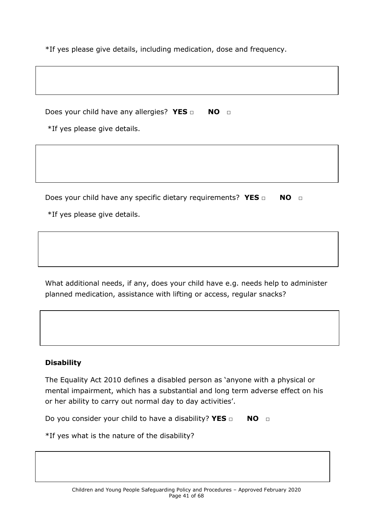\*If yes please give details, including medication, dose and frequency.

Does your child have any allergies? **YES** □ **NO** □

\*If yes please give details.

Does your child have any specific dietary requirements? YES □ NO □

\*If yes please give details.

What additional needs, if any, does your child have e.g. needs help to administer planned medication, assistance with lifting or access, regular snacks?

#### **Disability**

The Equality Act 2010 defines a disabled person as 'anyone with a physical or mental impairment, which has a substantial and long term adverse effect on his or her ability to carry out normal day to day activities'.

Do you consider your child to have a disability? **YES** □ NO □

\*If yes what is the nature of the disability?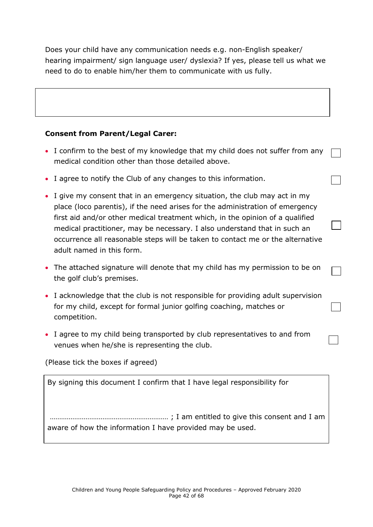Does your child have any communication needs e.g. non-English speaker/ hearing impairment/ sign language user/ dyslexia? If yes, please tell us what we need to do to enable him/her them to communicate with us fully.

#### **Consent from Parent/Legal Carer:**

- I confirm to the best of my knowledge that my child does not suffer from any medical condition other than those detailed above.
- I agree to notify the Club of any changes to this information.
- I give my consent that in an emergency situation, the club may act in my place (loco parentis), if the need arises for the administration of emergency first aid and/or other medical treatment which, in the opinion of a qualified medical practitioner, may be necessary. I also understand that in such an occurrence all reasonable steps will be taken to contact me or the alternative adult named in this form.
- The attached signature will denote that my child has my permission to be on the golf club's premises.
- I acknowledge that the club is not responsible for providing adult supervision for my child, except for formal junior golfing coaching, matches or competition.
- I agree to my child being transported by club representatives to and from venues when he/she is representing the club.

(Please tick the boxes if agreed)

By signing this document I confirm that I have legal responsibility for

……………………………………………………… ; I am entitled to give this consent and I am aware of how the information I have provided may be used.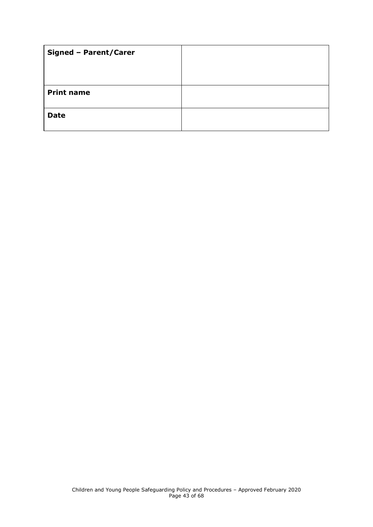| <b>Signed - Parent/Carer</b> |  |
|------------------------------|--|
|                              |  |
|                              |  |
| <b>Print name</b>            |  |
| <b>Date</b>                  |  |
|                              |  |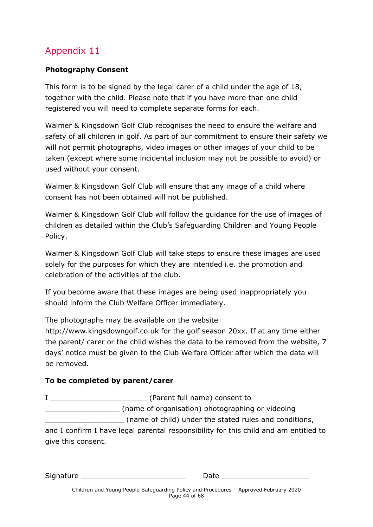#### <span id="page-43-0"></span>**Photography Consent**

This form is to be signed by the legal carer of a child under the age of 18, together with the child. Please note that if you have more than one child registered you will need to complete separate forms for each.

Walmer & Kingsdown Golf Club recognises the need to ensure the welfare and safety of all children in golf. As part of our commitment to ensure their safety we will not permit photographs, video images or other images of your child to be taken (except where some incidental inclusion may not be possible to avoid) or used without your consent.

Walmer & Kingsdown Golf Club will ensure that any image of a child where consent has not been obtained will not be published.

Walmer & Kingsdown Golf Club will follow the guidance for the use of images of children as detailed within the Club's Safeguarding Children and Young People Policy.

Walmer & Kingsdown Golf Club will take steps to ensure these images are used solely for the purposes for which they are intended i.e. the promotion and celebration of the activities of the club.

If you become aware that these images are being used inappropriately you should inform the Club Welfare Officer immediately.

The photographs may be available on the website

http://www.kingsdowngolf.co.uk for the golf season 20xx. If at any time either the parent/ carer or the child wishes the data to be removed from the website, 7 days' notice must be given to the Club Welfare Officer after which the data will be removed.

### **To be completed by parent/carer**

| (Parent full name) consent to                                                        |  |
|--------------------------------------------------------------------------------------|--|
| (name of organisation) photographing or videoing                                     |  |
| (name of child) under the stated rules and conditions,                               |  |
| and I confirm I have legal parental responsibility for this child and am entitled to |  |
| give this consent.                                                                   |  |

Signature **Example 20** Date  $\sim$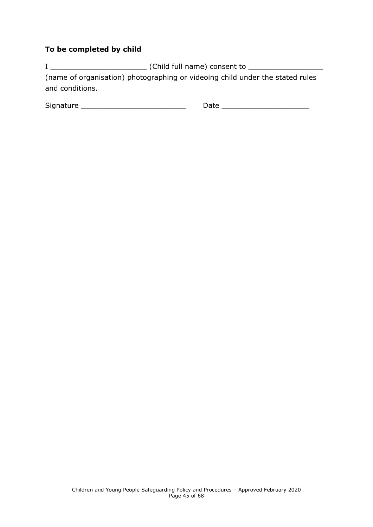#### **To be completed by child**

I \_\_\_\_\_\_\_\_\_\_\_\_\_\_\_\_\_\_\_\_\_\_ (Child full name) consent to \_\_\_\_\_\_\_\_\_\_\_\_\_\_\_\_\_ (name of organisation) photographing or videoing child under the stated rules and conditions.

<span id="page-44-0"></span>

| $\sim$ $\sim$<br>- - - -<br>Sic<br>. | --- |
|--------------------------------------|-----|
|                                      |     |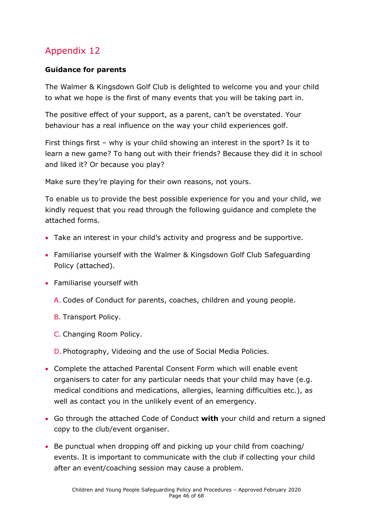### **Guidance for parents**

The Walmer & Kingsdown Golf Club is delighted to welcome you and your child to what we hope is the first of many events that you will be taking part in.

The positive effect of your support, as a parent, can't be overstated. Your behaviour has a real influence on the way your child experiences golf.

First things first – why is your child showing an interest in the sport? Is it to learn a new game? To hang out with their friends? Because they did it in school and liked it? Or because you play?

Make sure they're playing for their own reasons, not yours.

To enable us to provide the best possible experience for you and your child, we kindly request that you read through the following guidance and complete the attached forms.

- Take an interest in your child's activity and progress and be supportive.
- Familiarise yourself with the Walmer & Kingsdown Golf Club Safeguarding Policy (attached).
- Familiarise yourself with
	- A. Codes of Conduct for parents, coaches, children and young people.
	- B. Transport Policy.
	- C. Changing Room Policy.

D. Photography, Videoing and the use of Social Media Policies.

- Complete the attached Parental Consent Form which will enable event organisers to cater for any particular needs that your child may have (e.g. medical conditions and medications, allergies, learning difficulties etc.), as well as contact you in the unlikely event of an emergency.
- Go through the attached Code of Conduct **with** your child and return a signed copy to the club/event organiser.
- Be punctual when dropping off and picking up your child from coaching/ events. It is important to communicate with the club if collecting your child after an event/coaching session may cause a problem.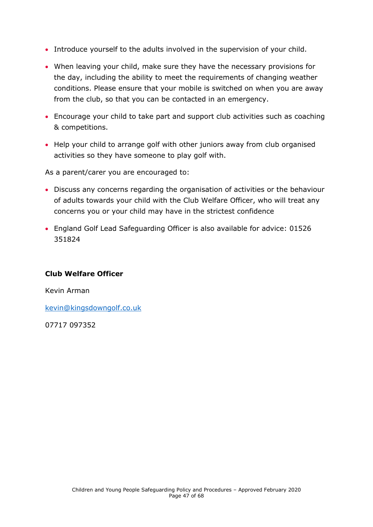- Introduce yourself to the adults involved in the supervision of your child.
- When leaving your child, make sure they have the necessary provisions for the day, including the ability to meet the requirements of changing weather conditions. Please ensure that your mobile is switched on when you are away from the club, so that you can be contacted in an emergency.
- Encourage your child to take part and support club activities such as coaching & competitions.
- Help your child to arrange golf with other juniors away from club organised activities so they have someone to play golf with.

As a parent/carer you are encouraged to:

- Discuss any concerns regarding the organisation of activities or the behaviour of adults towards your child with the Club Welfare Officer, who will treat any concerns you or your child may have in the strictest confidence
- England Golf Lead Safeguarding Officer is also available for advice: 01526 351824

#### **Club Welfare Officer**

Kevin Arman

[kevin@kingsdowngolf.co.uk](mailto:jonathan@kingsdowngolf.co.uk)

<span id="page-46-0"></span>07717 097352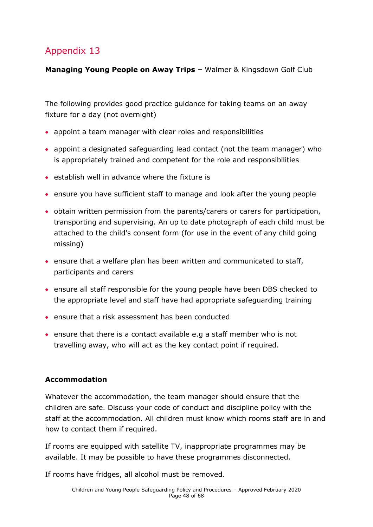**Managing Young People on Away Trips –** Walmer & Kingsdown Golf Club

The following provides good practice guidance for taking teams on an away fixture for a day (not overnight)

- appoint a team manager with clear roles and responsibilities
- appoint a designated safeguarding lead contact (not the team manager) who is appropriately trained and competent for the role and responsibilities
- establish well in advance where the fixture is
- ensure you have sufficient staff to manage and look after the young people
- obtain written permission from the parents/carers or carers for participation, transporting and supervising. An up to date photograph of each child must be attached to the child's consent form (for use in the event of any child going missing)
- ensure that a welfare plan has been written and communicated to staff, participants and carers
- ensure all staff responsible for the young people have been DBS checked to the appropriate level and staff have had appropriate safeguarding training
- ensure that a risk assessment has been conducted
- ensure that there is a contact available e.g a staff member who is not travelling away, who will act as the key contact point if required.

### **Accommodation**

Whatever the accommodation, the team manager should ensure that the children are safe. Discuss your code of conduct and discipline policy with the staff at the accommodation. All children must know which rooms staff are in and how to contact them if required.

If rooms are equipped with satellite TV, inappropriate programmes may be available. It may be possible to have these programmes disconnected.

If rooms have fridges, all alcohol must be removed.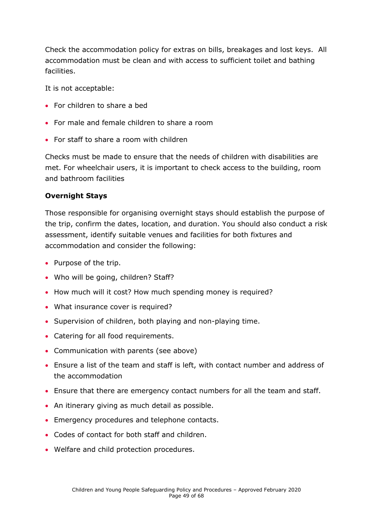Check the accommodation policy for extras on bills, breakages and lost keys. All accommodation must be clean and with access to sufficient toilet and bathing facilities.

It is not acceptable:

- For children to share a bed
- For male and female children to share a room
- For staff to share a room with children

Checks must be made to ensure that the needs of children with disabilities are met. For wheelchair users, it is important to check access to the building, room and bathroom facilities

#### **Overnight Stays**

Those responsible for organising overnight stays should establish the purpose of the trip, confirm the dates, location, and duration. You should also conduct a risk assessment, identify suitable venues and facilities for both fixtures and accommodation and consider the following:

- Purpose of the trip.
- Who will be going, children? Staff?
- How much will it cost? How much spending money is required?
- What insurance cover is required?
- Supervision of children, both playing and non-playing time.
- Catering for all food requirements.
- Communication with parents (see above)
- Ensure a list of the team and staff is left, with contact number and address of the accommodation
- Ensure that there are emergency contact numbers for all the team and staff.
- An itinerary giving as much detail as possible.
- Emergency procedures and telephone contacts.
- Codes of contact for both staff and children.
- <span id="page-48-0"></span>• Welfare and child protection procedures.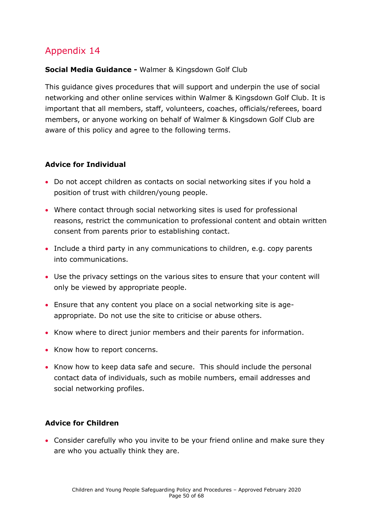#### **Social Media Guidance -** Walmer & Kingsdown Golf Club

This guidance gives procedures that will support and underpin the use of social networking and other online services within Walmer & Kingsdown Golf Club. It is important that all members, staff, volunteers, coaches, officials/referees, board members, or anyone working on behalf of Walmer & Kingsdown Golf Club are aware of this policy and agree to the following terms.

#### **Advice for Individual**

- Do not accept children as contacts on social networking sites if you hold a position of trust with children/young people.
- Where contact through social networking sites is used for professional reasons, restrict the communication to professional content and obtain written consent from parents prior to establishing contact.
- Include a third party in any communications to children, e.g. copy parents into communications.
- Use the privacy settings on the various sites to ensure that your content will only be viewed by appropriate people.
- Ensure that any content you place on a social networking site is ageappropriate. Do not use the site to criticise or abuse others.
- Know where to direct junior members and their parents for information.
- Know how to report concerns.
- Know how to keep data safe and secure. This should include the personal contact data of individuals, such as mobile numbers, email addresses and social networking profiles.

#### **Advice for Children**

• Consider carefully who you invite to be your friend online and make sure they are who you actually think they are.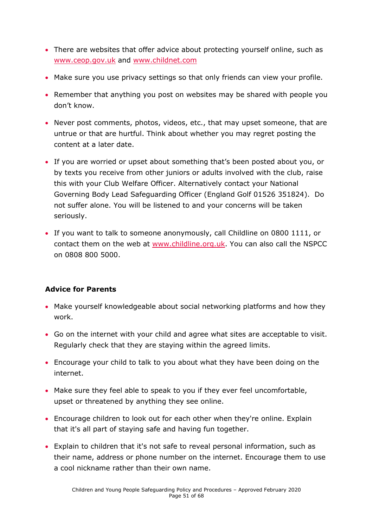- There are websites that offer advice about protecting yourself online, such as [www.ceop.gov.uk](http://www.ceop.gov.uk/) and [www.childnet.com](http://www.childnet.com/)
- Make sure you use privacy settings so that only friends can view your profile.
- Remember that anything you post on websites may be shared with people you don't know.
- Never post comments, photos, videos, etc., that may upset someone, that are untrue or that are hurtful. Think about whether you may regret posting the content at a later date.
- If you are worried or upset about something that's been posted about you, or by texts you receive from other juniors or adults involved with the club, raise this with your Club Welfare Officer. Alternatively contact your National Governing Body Lead Safeguarding Officer (England Golf 01526 351824). Do not suffer alone. You will be listened to and your concerns will be taken seriously.
- If you want to talk to someone anonymously, call Childline on 0800 1111, or contact them on the web at [www.childline.org.uk.](http://www.childline.org.uk/) You can also call the NSPCC on 0808 800 5000.

#### **Advice for Parents**

- Make yourself knowledgeable about social networking platforms and how they work.
- Go on the internet with your child and agree what sites are acceptable to visit. Regularly check that they are staying within the agreed limits.
- Encourage your child to talk to you about what they have been doing on the internet.
- Make sure they feel able to speak to you if they ever feel uncomfortable, upset or threatened by anything they see online.
- Encourage children to look out for each other when they're online. Explain that it's all part of staying safe and having fun together.
- Explain to children that it's not safe to reveal personal information, such as their name, address or phone number on the internet. Encourage them to use a cool nickname rather than their own name.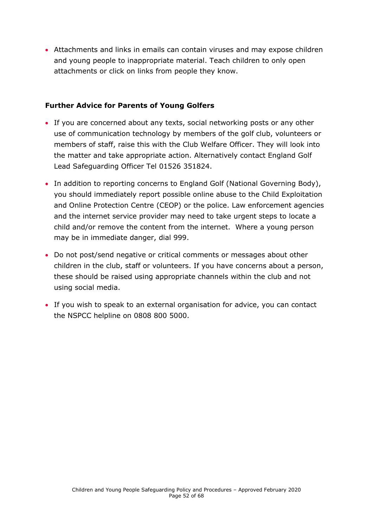• Attachments and links in emails can contain viruses and may expose children and young people to inappropriate material. Teach children to only open attachments or click on links from people they know.

#### **Further Advice for Parents of Young Golfers**

- If you are concerned about any texts, social networking posts or any other use of communication technology by members of the golf club, volunteers or members of staff, raise this with the Club Welfare Officer. They will look into the matter and take appropriate action. Alternatively contact England Golf Lead Safeguarding Officer Tel 01526 351824.
- In addition to reporting concerns to England Golf (National Governing Body), you should immediately report possible online abuse to the Child Exploitation and Online Protection Centre (CEOP) or the police. Law enforcement agencies and the internet service provider may need to take urgent steps to locate a child and/or remove the content from the internet. Where a young person may be in immediate danger, dial 999.
- Do not post/send negative or critical comments or messages about other children in the club, staff or volunteers. If you have concerns about a person, these should be raised using appropriate channels within the club and not using social media.
- <span id="page-51-0"></span>• If you wish to speak to an external organisation for advice, you can contact the NSPCC helpline on 0808 800 5000.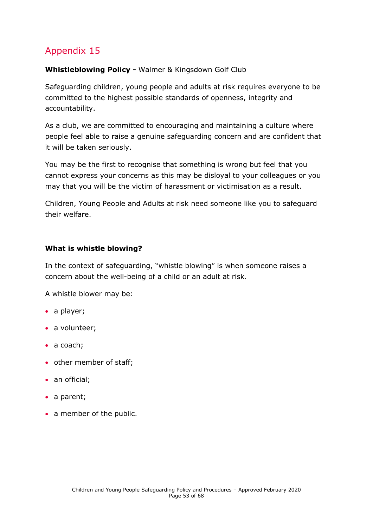#### **Whistleblowing Policy -** Walmer & Kingsdown Golf Club

Safeguarding children, young people and adults at risk requires everyone to be committed to the highest possible standards of openness, integrity and accountability.

As a club, we are committed to encouraging and maintaining a culture where people feel able to raise a genuine safeguarding concern and are confident that it will be taken seriously.

You may be the first to recognise that something is wrong but feel that you cannot express your concerns as this may be disloyal to your colleagues or you may that you will be the victim of harassment or victimisation as a result.

Children, Young People and Adults at risk need someone like you to safeguard their welfare.

#### **What is whistle blowing?**

In the context of safeguarding, "whistle blowing" is when someone raises a concern about the well-being of a child or an adult at risk.

A whistle blower may be:

- a player;
- a volunteer;
- a coach;
- other member of staff;
- an official;
- a parent;
- a member of the public.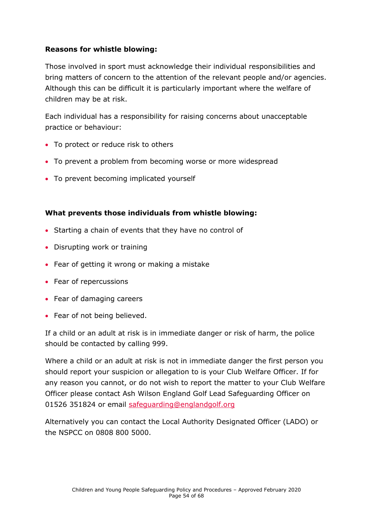#### **Reasons for whistle blowing:**

Those involved in sport must acknowledge their individual responsibilities and bring matters of concern to the attention of the relevant people and/or agencies. Although this can be difficult it is particularly important where the welfare of children may be at risk.

Each individual has a responsibility for raising concerns about unacceptable practice or behaviour:

- To protect or reduce risk to others
- To prevent a problem from becoming worse or more widespread
- To prevent becoming implicated yourself

#### **What prevents those individuals from whistle blowing:**

- Starting a chain of events that they have no control of
- Disrupting work or training
- Fear of getting it wrong or making a mistake
- Fear of repercussions
- Fear of damaging careers
- Fear of not being believed.

If a child or an adult at risk is in immediate danger or risk of harm, the police should be contacted by calling 999.

Where a child or an adult at risk is not in immediate danger the first person you should report your suspicion or allegation to is your Club Welfare Officer. If for any reason you cannot, or do not wish to report the matter to your Club Welfare Officer please contact Ash Wilson England Golf Lead Safeguarding Officer on 01526 351824 or email [safeguarding@englandgolf.org](mailto:safeguarding@englandgolf.org)

Alternatively you can contact the Local Authority Designated Officer (LADO) or the NSPCC on 0808 800 5000.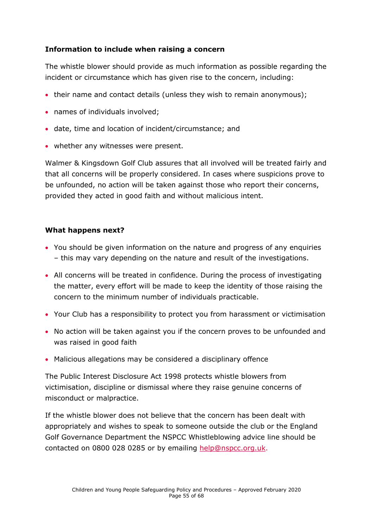#### **Information to include when raising a concern**

The whistle blower should provide as much information as possible regarding the incident or circumstance which has given rise to the concern, including:

- their name and contact details (unless they wish to remain anonymous);
- names of individuals involved;
- date, time and location of incident/circumstance; and
- whether any witnesses were present.

Walmer & Kingsdown Golf Club assures that all involved will be treated fairly and that all concerns will be properly considered. In cases where suspicions prove to be unfounded, no action will be taken against those who report their concerns, provided they acted in good faith and without malicious intent.

#### **What happens next?**

- You should be given information on the nature and progress of any enquiries – this may vary depending on the nature and result of the investigations.
- All concerns will be treated in confidence. During the process of investigating the matter, every effort will be made to keep the identity of those raising the concern to the minimum number of individuals practicable.
- Your Club has a responsibility to protect you from harassment or victimisation
- No action will be taken against you if the concern proves to be unfounded and was raised in good faith
- Malicious allegations may be considered a disciplinary offence

The Public Interest Disclosure Act 1998 protects whistle blowers from victimisation, discipline or dismissal where they raise genuine concerns of misconduct or malpractice.

If the whistle blower does not believe that the concern has been dealt with appropriately and wishes to speak to someone outside the club or the England Golf Governance Department the NSPCC Whistleblowing advice line should be contacted on 0800 028 0285 or by emailing [help@nspcc.org.uk.](mailto:help@nspcc.org.uk)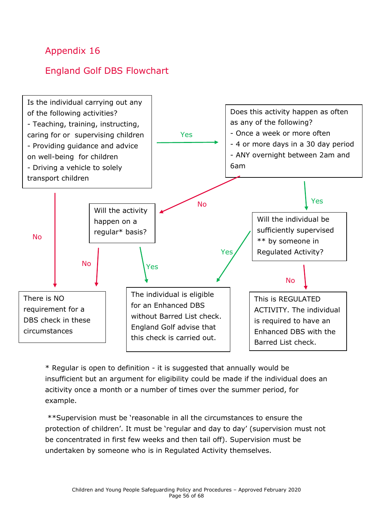# <span id="page-55-0"></span>England Golf DBS Flowchart



\* Regular is open to definition - it is suggested that annually would be insufficient but an argument for eligibility could be made if the individual does an acitivity once a month or a number of times over the summer period, for example.

\*\*Supervision must be 'reasonable in all the circumstances to ensure the protection of children'. It must be 'regular and day to day' (supervision must not be concentrated in first few weeks and then tail off). Supervision must be undertaken by someone who is in Regulated Activity themselves.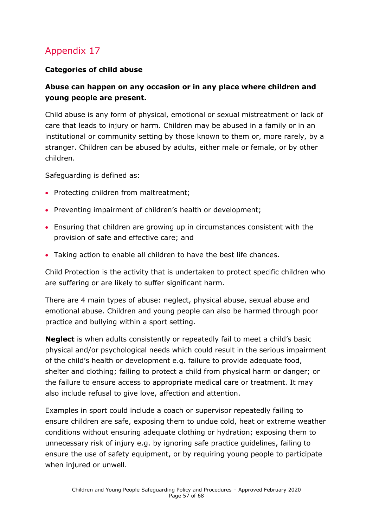#### <span id="page-56-0"></span>**Categories of child abuse**

### **Abuse can happen on any occasion or in any place where children and young people are present.**

Child abuse is any form of physical, emotional or sexual mistreatment or lack of care that leads to injury or harm. Children may be abused in a family or in an institutional or community setting by those known to them or, more rarely, by a stranger. Children can be abused by adults, either male or female, or by other children.

Safeguarding is defined as:

- Protecting children from maltreatment;
- Preventing impairment of children's health or development;
- Ensuring that children are growing up in circumstances consistent with the provision of safe and effective care; and
- Taking action to enable all children to have the best life chances.

Child Protection is the activity that is undertaken to protect specific children who are suffering or are likely to suffer significant harm.

There are 4 main types of abuse: neglect, physical abuse, sexual abuse and emotional abuse. Children and young people can also be harmed through poor practice and bullying within a sport setting.

**Neglect** is when adults consistently or repeatedly fail to meet a child's basic physical and/or psychological needs which could result in the serious impairment of the child's health or development e.g. failure to provide adequate food, shelter and clothing; failing to protect a child from physical harm or danger; or the failure to ensure access to appropriate medical care or treatment. It may also include refusal to give love, affection and attention.

Examples in sport could include a coach or supervisor repeatedly failing to ensure children are safe, exposing them to undue cold, heat or extreme weather conditions without ensuring adequate clothing or hydration; exposing them to unnecessary risk of injury e.g. by ignoring safe practice guidelines, failing to ensure the use of safety equipment, or by requiring young people to participate when injured or unwell.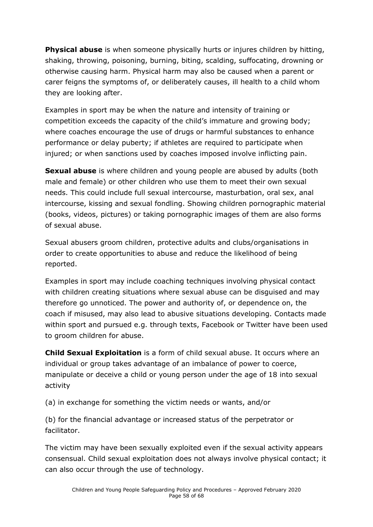**Physical abuse** is when someone physically hurts or injures children by hitting, shaking, throwing, poisoning, burning, biting, scalding, suffocating, drowning or otherwise causing harm. Physical harm may also be caused when a parent or carer feigns the symptoms of, or deliberately causes, ill health to a child whom they are looking after.

Examples in sport may be when the nature and intensity of training or competition exceeds the capacity of the child's immature and growing body; where coaches encourage the use of drugs or harmful substances to enhance performance or delay puberty; if athletes are required to participate when injured; or when sanctions used by coaches imposed involve inflicting pain.

**Sexual abuse** is where children and young people are abused by adults (both male and female) or other children who use them to meet their own sexual needs. This could include full sexual intercourse, masturbation, oral sex, anal intercourse, kissing and sexual fondling. Showing children pornographic material (books, videos, pictures) or taking pornographic images of them are also forms of sexual abuse.

Sexual abusers groom children, protective adults and clubs/organisations in order to create opportunities to abuse and reduce the likelihood of being reported.

Examples in sport may include coaching techniques involving physical contact with children creating situations where sexual abuse can be disguised and may therefore go unnoticed. The power and authority of, or dependence on, the coach if misused, may also lead to abusive situations developing. Contacts made within sport and pursued e.g. through texts, Facebook or Twitter have been used to groom children for abuse.

**Child Sexual Exploitation** is a form of child sexual abuse. It occurs where an individual or group takes advantage of an imbalance of power to coerce, manipulate or deceive a child or young person under the age of 18 into sexual activity

(a) in exchange for something the victim needs or wants, and/or

(b) for the financial advantage or increased status of the perpetrator or facilitator.

The victim may have been sexually exploited even if the sexual activity appears consensual. Child sexual exploitation does not always involve physical contact; it can also occur through the use of technology.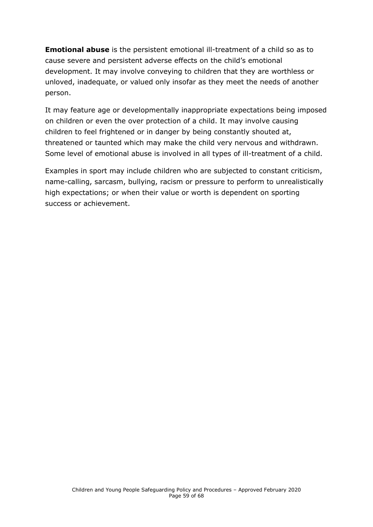**Emotional abuse** is the persistent emotional ill-treatment of a child so as to cause severe and persistent adverse effects on the child's emotional development. It may involve conveying to children that they are worthless or unloved, inadequate, or valued only insofar as they meet the needs of another person.

It may feature age or developmentally inappropriate expectations being imposed on children or even the over protection of a child. It may involve causing children to feel frightened or in danger by being constantly shouted at, threatened or taunted which may make the child very nervous and withdrawn. Some level of emotional abuse is involved in all types of ill-treatment of a child.

Examples in sport may include children who are subjected to constant criticism, name-calling, sarcasm, bullying, racism or pressure to perform to unrealistically high expectations; or when their value or worth is dependent on sporting success or achievement.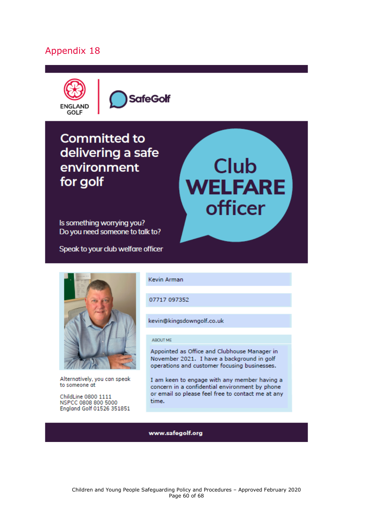

**SafeGolf** 

# **Committed to** delivering a safe environment for golf

Is something worrying you? Do you need someone to talk to?

Speak to your club welfare officer



Alternatively, you can speak to someone at

<span id="page-59-0"></span>ChildLine 0800 1111 NSPCC 0808 800 5000 England Golf 01526 351851 Kevin Arman

07717 097352

kevin@kingsdowngolf.co.uk

#### ABOUT ME

Appointed as Office and Clubhouse Manager in November 2021. I have a background in golf operations and customer focusing businesses.

**Club** 

**WELFARE** 

**officer** 

I am keen to engage with any member having a concern in a confidential environment by phone or email so please feel free to contact me at any time.

www.safegolf.org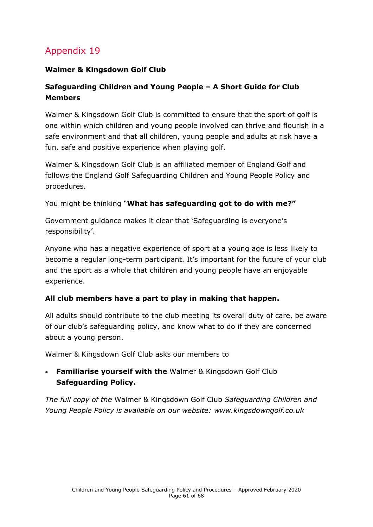#### **Walmer & Kingsdown Golf Club**

### **Safeguarding Children and Young People – A Short Guide for Club Members**

Walmer & Kingsdown Golf Club is committed to ensure that the sport of golf is one within which children and young people involved can thrive and flourish in a safe environment and that all children, young people and adults at risk have a fun, safe and positive experience when playing golf.

Walmer & Kingsdown Golf Club is an affiliated member of England Golf and follows the England Golf Safeguarding Children and Young People Policy and procedures.

You might be thinking "**What has safeguarding got to do with me?"**

Government guidance makes it clear that 'Safeguarding is everyone's responsibility'.

Anyone who has a negative experience of sport at a young age is less likely to become a regular long-term participant. It's important for the future of your club and the sport as a whole that children and young people have an enjoyable experience.

#### **All club members have a part to play in making that happen.**

All adults should contribute to the club meeting its overall duty of care, be aware of our club's safeguarding policy, and know what to do if they are concerned about a young person.

Walmer & Kingsdown Golf Club asks our members to

• **Familiarise yourself with the** Walmer & Kingsdown Golf Club **Safeguarding Policy.** 

*The full copy of the* Walmer & Kingsdown Golf Club *Safeguarding Children and Young People Policy is available on our website: www.kingsdowngolf.co.uk*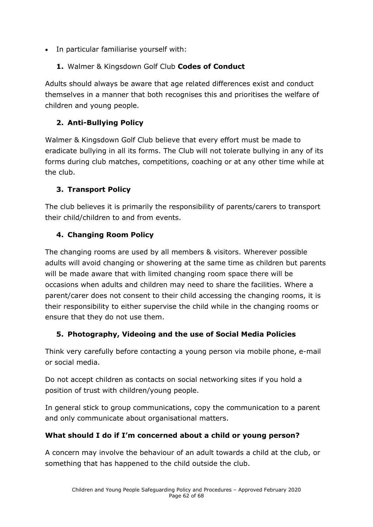- In particular familiarise yourself with:
	- **1.** Walmer & Kingsdown Golf Club **Codes of Conduct**

Adults should always be aware that age related differences exist and conduct themselves in a manner that both recognises this and prioritises the welfare of children and young people.

### **2. Anti-Bullying Policy**

Walmer & Kingsdown Golf Club believe that every effort must be made to eradicate bullying in all its forms. The Club will not tolerate bullying in any of its forms during club matches, competitions, coaching or at any other time while at the club.

### **3. Transport Policy**

The club believes it is primarily the responsibility of parents/carers to transport their child/children to and from events.

### **4. Changing Room Policy**

The changing rooms are used by all members & visitors. Wherever possible adults will avoid changing or showering at the same time as children but parents will be made aware that with limited changing room space there will be occasions when adults and children may need to share the facilities. Where a parent/carer does not consent to their child accessing the changing rooms, it is their responsibility to either supervise the child while in the changing rooms or ensure that they do not use them.

### **5. Photography, Videoing and the use of Social Media Policies**

Think very carefully before contacting a young person via mobile phone, e-mail or social media.

Do not accept children as contacts on social networking sites if you hold a position of trust with children/young people.

In general stick to group communications, copy the communication to a parent and only communicate about organisational matters.

### **What should I do if I'm concerned about a child or young person?**

A concern may involve the behaviour of an adult towards a child at the club, or something that has happened to the child outside the club.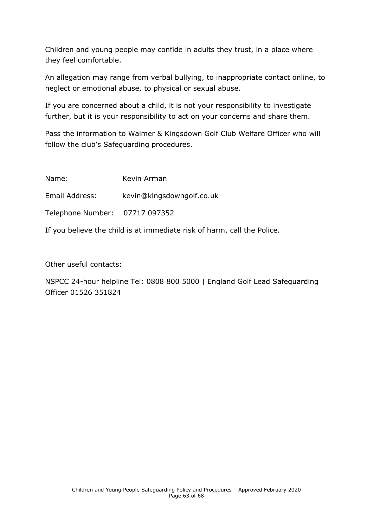Children and young people may confide in adults they trust, in a place where they feel comfortable.

An allegation may range from verbal bullying, to inappropriate contact online, to neglect or emotional abuse, to physical or sexual abuse.

If you are concerned about a child, it is not your responsibility to investigate further, but it is your responsibility to act on your concerns and share them.

Pass the information to Walmer & Kingsdown Golf Club Welfare Officer who will follow the club's Safeguarding procedures.

| Name:                                                                   | Kevin Arman               |  |
|-------------------------------------------------------------------------|---------------------------|--|
| Email Address:                                                          | kevin@kingsdowngolf.co.uk |  |
| Telephone Number: 07717 097352                                          |                           |  |
| If you believe the child is at immediate risk of harm, call the Police. |                           |  |

Other useful contacts:

NSPCC 24-hour helpline Tel: 0808 800 5000 | England Golf Lead Safeguarding Officer 01526 351824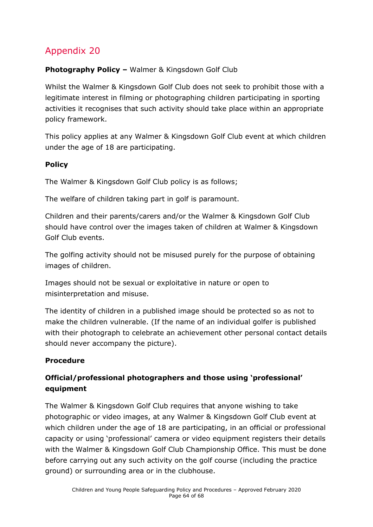### <span id="page-63-0"></span>**Photography Policy –** Walmer & Kingsdown Golf Club

Whilst the Walmer & Kingsdown Golf Club does not seek to prohibit those with a legitimate interest in filming or photographing children participating in sporting activities it recognises that such activity should take place within an appropriate policy framework.

This policy applies at any Walmer & Kingsdown Golf Club event at which children under the age of 18 are participating.

#### **Policy**

The Walmer & Kingsdown Golf Club policy is as follows;

The welfare of children taking part in golf is paramount.

Children and their parents/carers and/or the Walmer & Kingsdown Golf Club should have control over the images taken of children at Walmer & Kingsdown Golf Club events.

The golfing activity should not be misused purely for the purpose of obtaining images of children.

Images should not be sexual or exploitative in nature or open to misinterpretation and misuse.

The identity of children in a published image should be protected so as not to make the children vulnerable. (If the name of an individual golfer is published with their photograph to celebrate an achievement other personal contact details should never accompany the picture).

#### **Procedure**

### **Official/professional photographers and those using 'professional' equipment**

The Walmer & Kingsdown Golf Club requires that anyone wishing to take photographic or video images, at any Walmer & Kingsdown Golf Club event at which children under the age of 18 are participating, in an official or professional capacity or using 'professional' camera or video equipment registers their details with the Walmer & Kingsdown Golf Club Championship Office. This must be done before carrying out any such activity on the golf course (including the practice ground) or surrounding area or in the clubhouse.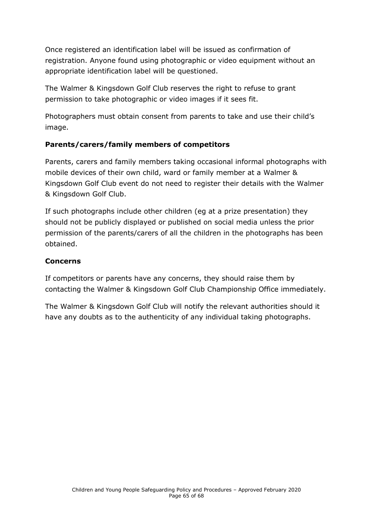Once registered an identification label will be issued as confirmation of registration. Anyone found using photographic or video equipment without an appropriate identification label will be questioned.

The Walmer & Kingsdown Golf Club reserves the right to refuse to grant permission to take photographic or video images if it sees fit.

Photographers must obtain consent from parents to take and use their child's image.

### **Parents/carers/family members of competitors**

Parents, carers and family members taking occasional informal photographs with mobile devices of their own child, ward or family member at a Walmer & Kingsdown Golf Club event do not need to register their details with the Walmer & Kingsdown Golf Club.

If such photographs include other children (eg at a prize presentation) they should not be publicly displayed or published on social media unless the prior permission of the parents/carers of all the children in the photographs has been obtained.

#### **Concerns**

If competitors or parents have any concerns, they should raise them by contacting the Walmer & Kingsdown Golf Club Championship Office immediately.

The Walmer & Kingsdown Golf Club will notify the relevant authorities should it have any doubts as to the authenticity of any individual taking photographs.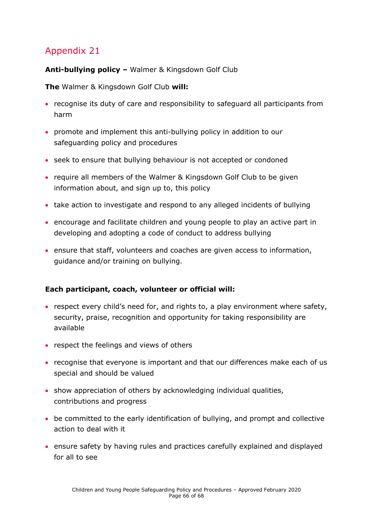#### <span id="page-65-0"></span>**Anti-bullying policy –** Walmer & Kingsdown Golf Club

**The** Walmer & Kingsdown Golf Club **will:** 

- recognise its duty of care and responsibility to safeguard all participants from harm
- promote and implement this anti-bullying policy in addition to our safeguarding policy and procedures
- seek to ensure that bullying behaviour is not accepted or condoned
- require all members of the Walmer & Kingsdown Golf Club to be given information about, and sign up to, this policy
- take action to investigate and respond to any alleged incidents of bullying
- encourage and facilitate children and young people to play an active part in developing and adopting a code of conduct to address bullying
- ensure that staff, volunteers and coaches are given access to information, guidance and/or training on bullying.

#### **Each participant, coach, volunteer or official will:**

- respect every child's need for, and rights to, a play environment where safety, security, praise, recognition and opportunity for taking responsibility are available
- respect the feelings and views of others
- recognise that everyone is important and that our differences make each of us special and should be valued
- show appreciation of others by acknowledging individual qualities, contributions and progress
- be committed to the early identification of bullying, and prompt and collective action to deal with it
- ensure safety by having rules and practices carefully explained and displayed for all to see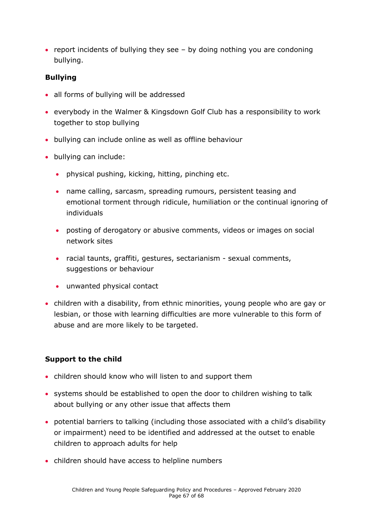• report incidents of bullying they see – by doing nothing you are condoning bullying.

#### **Bullying**

- all forms of bullying will be addressed
- everybody in the Walmer & Kingsdown Golf Club has a responsibility to work together to stop bullying
- bullying can include online as well as offline behaviour
- bullying can include:
	- physical pushing, kicking, hitting, pinching etc.
	- name calling, sarcasm, spreading rumours, persistent teasing and emotional torment through ridicule, humiliation or the continual ignoring of individuals
	- posting of derogatory or abusive comments, videos or images on social network sites
	- racial taunts, graffiti, gestures, sectarianism sexual comments, suggestions or behaviour
	- unwanted physical contact
- children with a disability, from ethnic minorities, young people who are gay or lesbian, or those with learning difficulties are more vulnerable to this form of abuse and are more likely to be targeted.

#### **Support to the child**

- children should know who will listen to and support them
- systems should be established to open the door to children wishing to talk about bullying or any other issue that affects them
- potential barriers to talking (including those associated with a child's disability or impairment) need to be identified and addressed at the outset to enable children to approach adults for help
- children should have access to helpline numbers